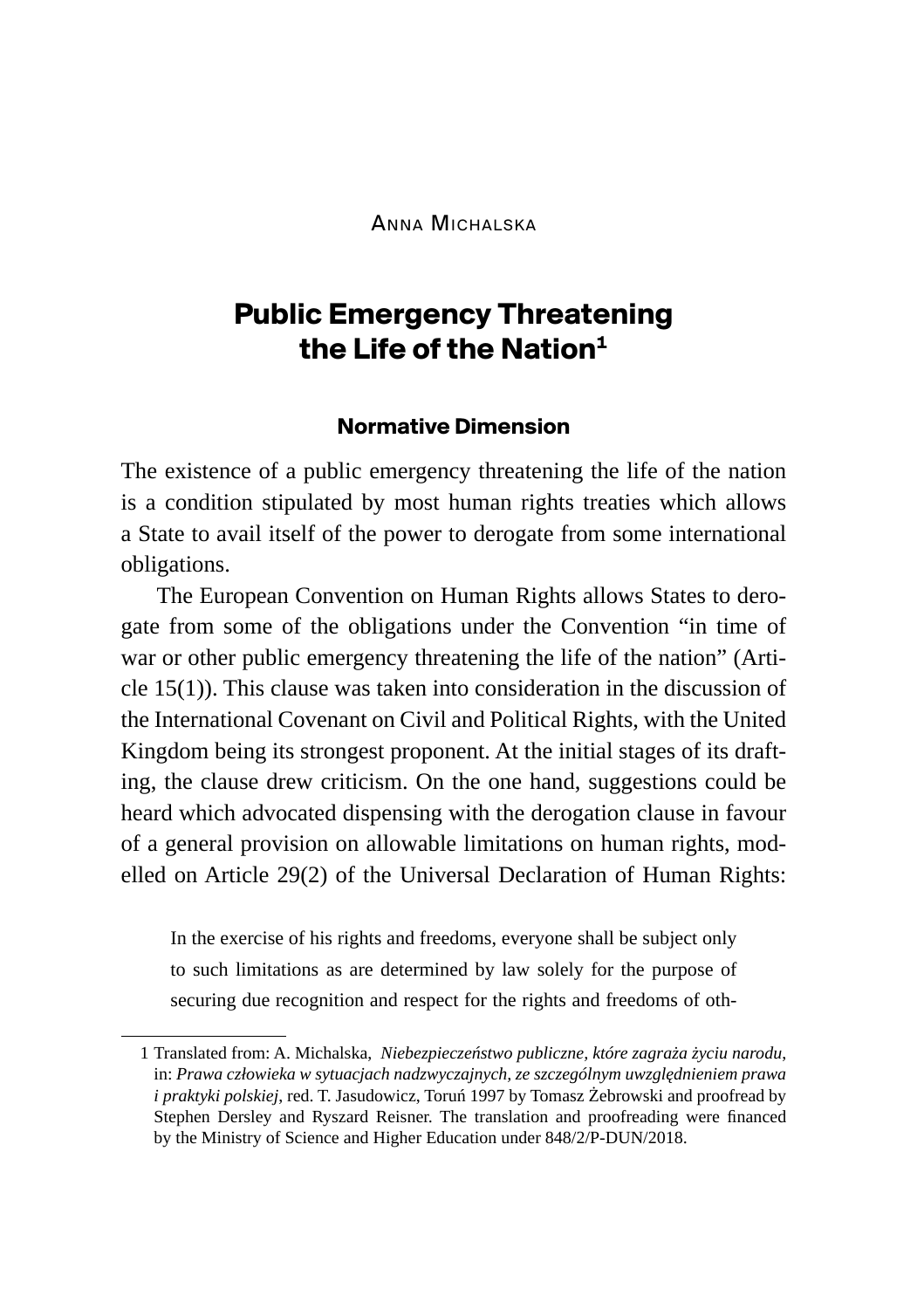Anna Michalska

# **Public Emergency Threatening the Life of the Nation1**

#### **Normative Dimension**

The existence of a public emergency threatening the life of the nation is a condition stipulated by most human rights treaties which allows a State to avail itself of the power to derogate from some international obligations.

The European Convention on Human Rights allows States to derogate from some of the obligations under the Convention "in time of war or other public emergency threatening the life of the nation" (Article 15(1)). This clause was taken into consideration in the discussion of the International Covenant on Civil and Political Rights, with the United Kingdom being its strongest proponent. At the initial stages of its drafting, the clause drew criticism. On the one hand, suggestions could be heard which advocated dispensing with the derogation clause in favour of a general provision on allowable limitations on human rights, modelled on Article 29(2) of the Universal Declaration of Human Rights:

In the exercise of his rights and freedoms, everyone shall be subject only to such limitations as are determined by law solely for the purpose of securing due recognition and respect for the rights and freedoms of oth-

<sup>1</sup> Translated from: A. Michalska, *Niebezpieczeństwo publiczne, które zagraża życiu narodu*, in: *Prawa człowieka w sytuacjach nadzwyczajnych, ze szczególnym uwzględnieniem prawa i praktyki polskiej*, red. T. Jasudowicz, Toruń 1997 by Tomasz Żebrowski and proofread by Stephen Dersley and Ryszard Reisner. The translation and proofreading were financed by the Ministry of Science and Higher Education under 848/2/P-DUN/2018.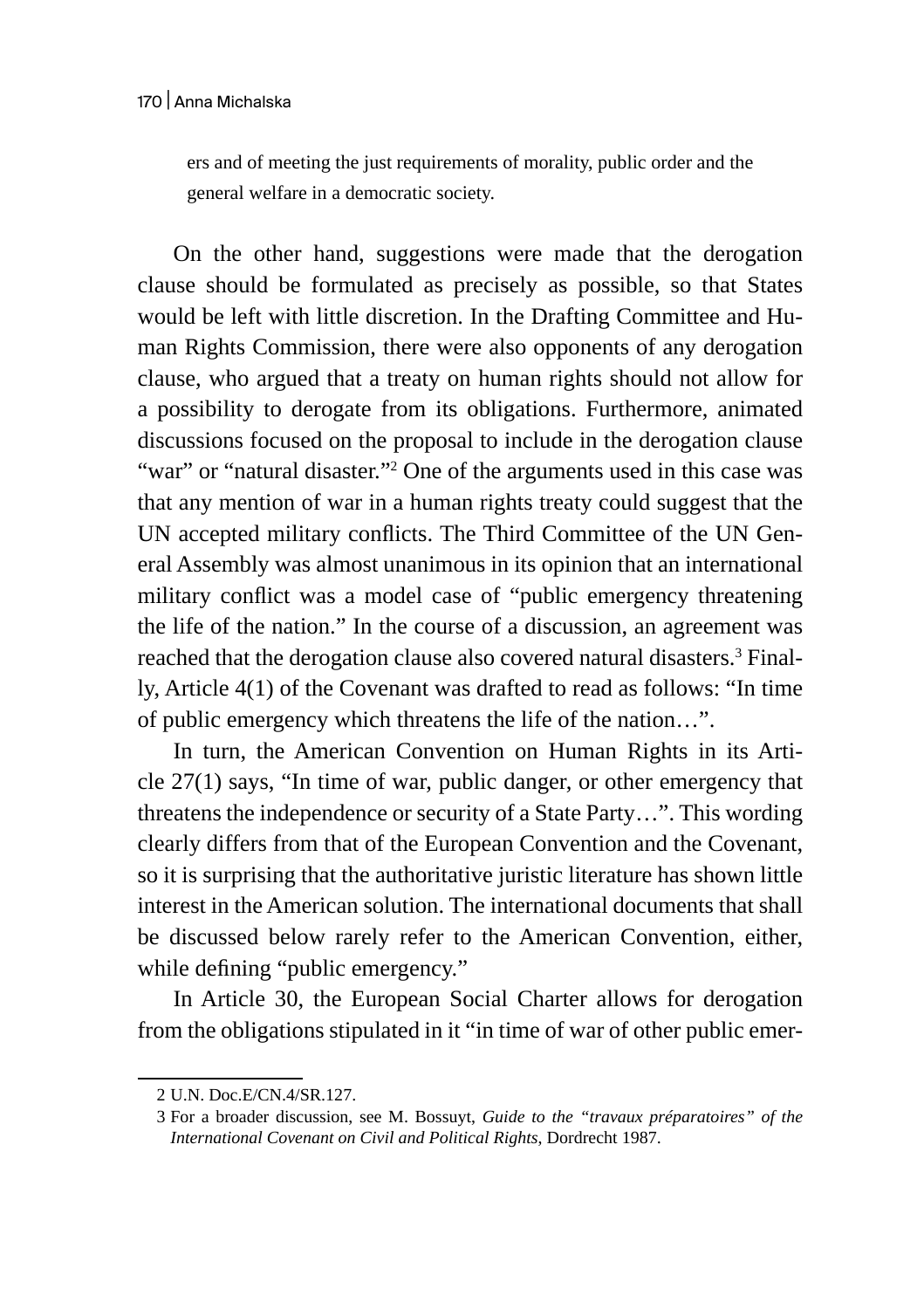ers and of meeting the just requirements of morality, public order and the general welfare in a democratic society.

On the other hand, suggestions were made that the derogation clause should be formulated as precisely as possible, so that States would be left with little discretion. In the Drafting Committee and Human Rights Commission, there were also opponents of any derogation clause, who argued that a treaty on human rights should not allow for a possibility to derogate from its obligations. Furthermore, animated discussions focused on the proposal to include in the derogation clause "war" or "natural disaster."<sup>2</sup> One of the arguments used in this case was that any mention of war in a human rights treaty could suggest that the UN accepted military conflicts. The Third Committee of the UN General Assembly was almost unanimous in its opinion that an international military conflict was a model case of "public emergency threatening the life of the nation." In the course of a discussion, an agreement was reached that the derogation clause also covered natural disasters.3 Finally, Article 4(1) of the Covenant was drafted to read as follows: "In time of public emergency which threatens the life of the nation…".

In turn, the American Convention on Human Rights in its Article 27(1) says, "In time of war, public danger, or other emergency that threatens the independence or security of a State Party…". This wording clearly differs from that of the European Convention and the Covenant, so it is surprising that the authoritative juristic literature has shown little interest in the American solution. The international documents that shall be discussed below rarely refer to the American Convention, either, while defining "public emergency."

In Article 30, the European Social Charter allows for derogation from the obligations stipulated in it "in time of war of other public emer-

<sup>2</sup> U.N. Doc.E/CN.4/SR.127.

<sup>3</sup> For a broader discussion, see M. Bossuyt, *Guide to the "travaux préparatoires" of the International Covenant on Civil and Political Rights*, Dordrecht 1987.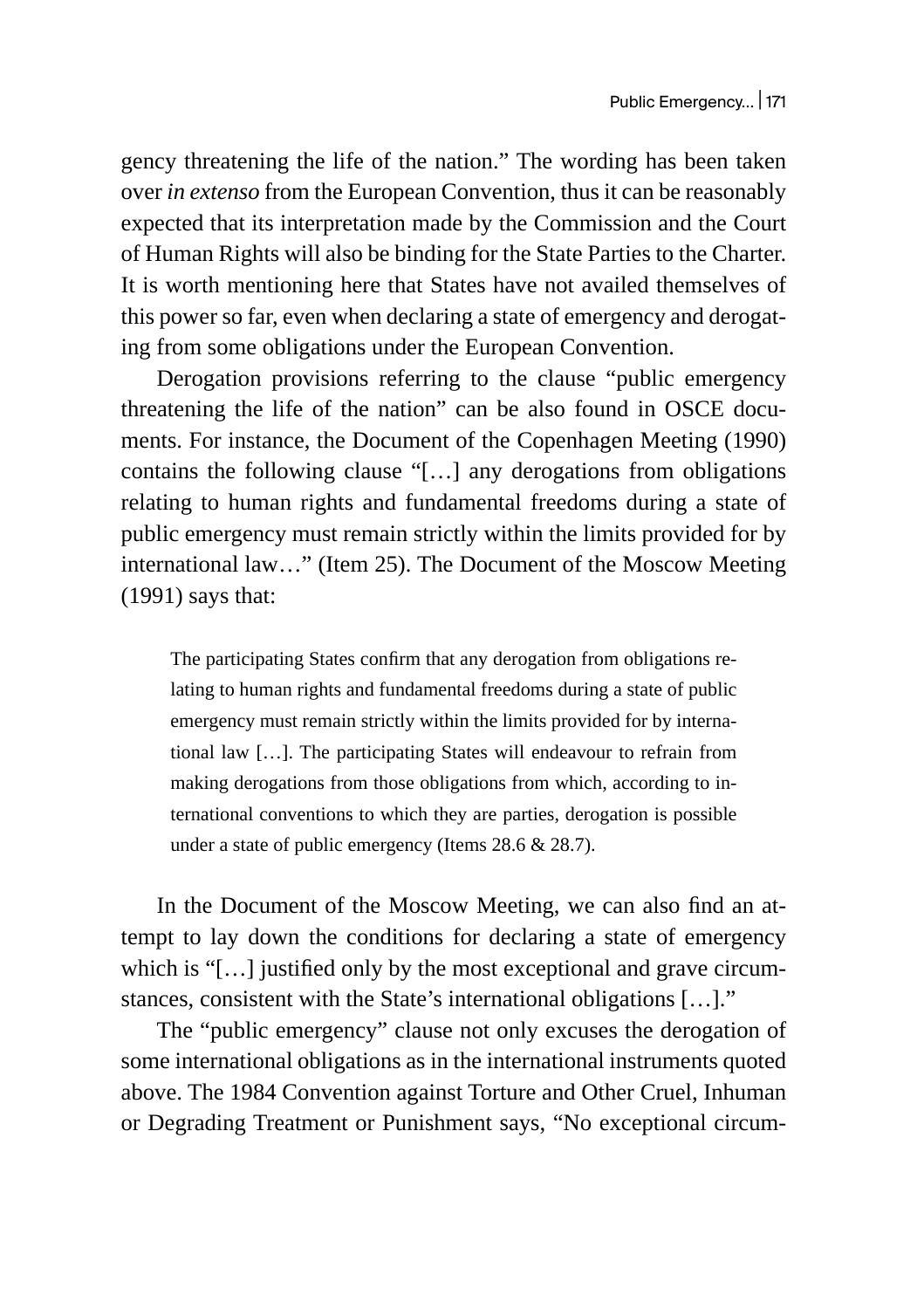gency threatening the life of the nation." The wording has been taken over *in extenso* from the European Convention, thus it can be reasonably expected that its interpretation made by the Commission and the Court of Human Rights will also be binding for the State Parties to the Charter. It is worth mentioning here that States have not availed themselves of this power so far, even when declaring a state of emergency and derogating from some obligations under the European Convention.

Derogation provisions referring to the clause "public emergency threatening the life of the nation" can be also found in OSCE documents. For instance, the Document of the Copenhagen Meeting (1990) contains the following clause "[…] any derogations from obligations relating to human rights and fundamental freedoms during a state of public emergency must remain strictly within the limits provided for by international law…" (Item 25). The Document of the Moscow Meeting (1991) says that:

The participating States confirm that any derogation from obligations relating to human rights and fundamental freedoms during a state of public emergency must remain strictly within the limits provided for by international law […]. The participating States will endeavour to refrain from making derogations from those obligations from which, according to international conventions to which they are parties, derogation is possible under a state of public emergency (Items 28.6 & 28.7).

In the Document of the Moscow Meeting, we can also find an attempt to lay down the conditions for declaring a state of emergency which is "[…] justified only by the most exceptional and grave circumstances, consistent with the State's international obligations […]."

The "public emergency" clause not only excuses the derogation of some international obligations as in the international instruments quoted above. The 1984 Convention against Torture and Other Cruel, Inhuman or Degrading Treatment or Punishment says, "No exceptional circum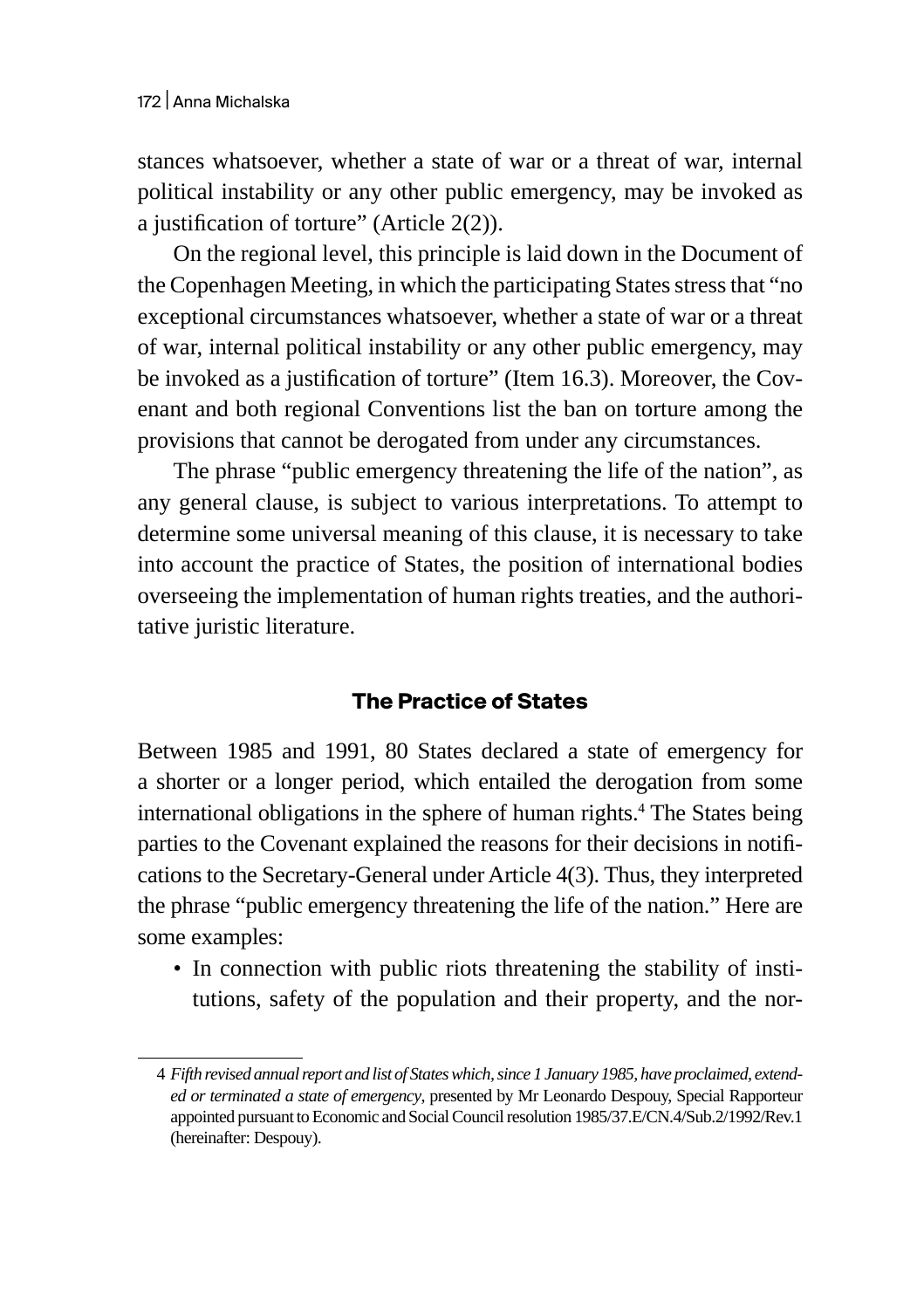stances whatsoever, whether a state of war or a threat of war, internal political instability or any other public emergency, may be invoked as a justification of torture" (Article 2(2)).

On the regional level, this principle is laid down in the Document of the Copenhagen Meeting, in which the participating States stress that "no exceptional circumstances whatsoever, whether a state of war or a threat of war, internal political instability or any other public emergency, may be invoked as a justification of torture" (Item 16.3). Moreover, the Covenant and both regional Conventions list the ban on torture among the provisions that cannot be derogated from under any circumstances.

The phrase "public emergency threatening the life of the nation", as any general clause, is subject to various interpretations. To attempt to determine some universal meaning of this clause, it is necessary to take into account the practice of States, the position of international bodies overseeing the implementation of human rights treaties, and the authoritative juristic literature.

# **The Practice of States**

Between 1985 and 1991, 80 States declared a state of emergency for a shorter or a longer period, which entailed the derogation from some international obligations in the sphere of human rights.4 The States being parties to the Covenant explained the reasons for their decisions in notifications to the Secretary-General under Article 4(3). Thus, they interpreted the phrase "public emergency threatening the life of the nation." Here are some examples:

• In connection with public riots threatening the stability of institutions, safety of the population and their property, and the nor-

<sup>4</sup> *Fifth revised annual report and list of States which, since 1 January 1985, have proclaimed, extended or terminated a state of emergency*, presented by Mr Leonardo Despouy, Special Rapporteur appointed pursuant to Economic and Social Council resolution 1985/37.E/CN.4/Sub.2/1992/Rev.1 (hereinafter: Despouy).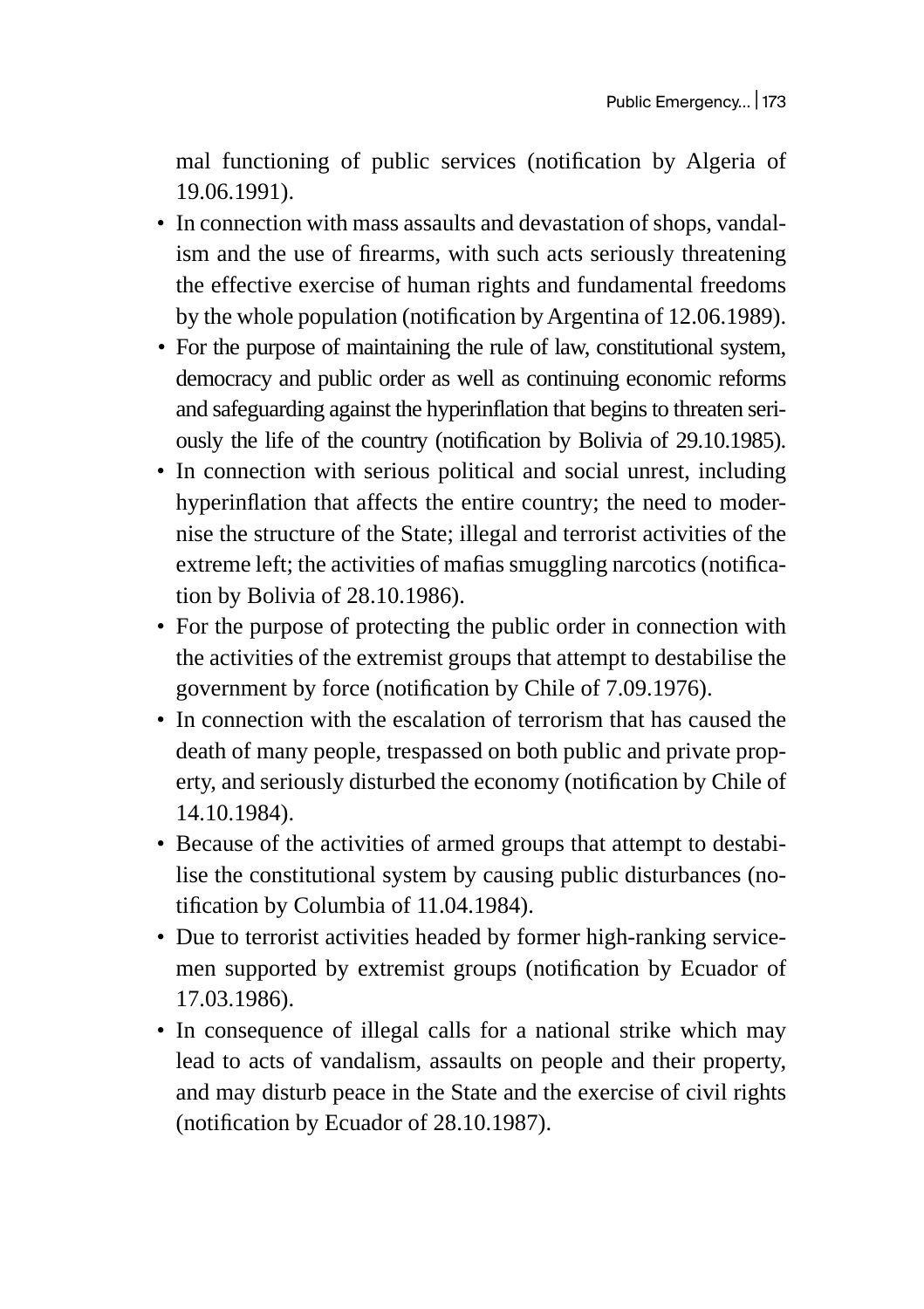mal functioning of public services (notification by Algeria of 19.06.1991).

- In connection with mass assaults and devastation of shops, vandalism and the use of firearms, with such acts seriously threatening the effective exercise of human rights and fundamental freedoms by the whole population (notification by Argentina of 12.06.1989).
- For the purpose of maintaining the rule of law, constitutional system, democracy and public order as well as continuing economic reforms and safeguarding against the hyperinflation that begins to threaten seriously the life of the country (notification by Bolivia of 29.10.1985).
- In connection with serious political and social unrest, including hyperinflation that affects the entire country; the need to modernise the structure of the State; illegal and terrorist activities of the extreme left; the activities of mafias smuggling narcotics (notification by Bolivia of 28.10.1986).
- For the purpose of protecting the public order in connection with the activities of the extremist groups that attempt to destabilise the government by force (notification by Chile of 7.09.1976).
- In connection with the escalation of terrorism that has caused the death of many people, trespassed on both public and private property, and seriously disturbed the economy (notification by Chile of 14.10.1984).
- Because of the activities of armed groups that attempt to destabilise the constitutional system by causing public disturbances (notification by Columbia of 11.04.1984).
- Due to terrorist activities headed by former high-ranking servicemen supported by extremist groups (notification by Ecuador of 17.03.1986).
- In consequence of illegal calls for a national strike which may lead to acts of vandalism, assaults on people and their property, and may disturb peace in the State and the exercise of civil rights (notification by Ecuador of 28.10.1987).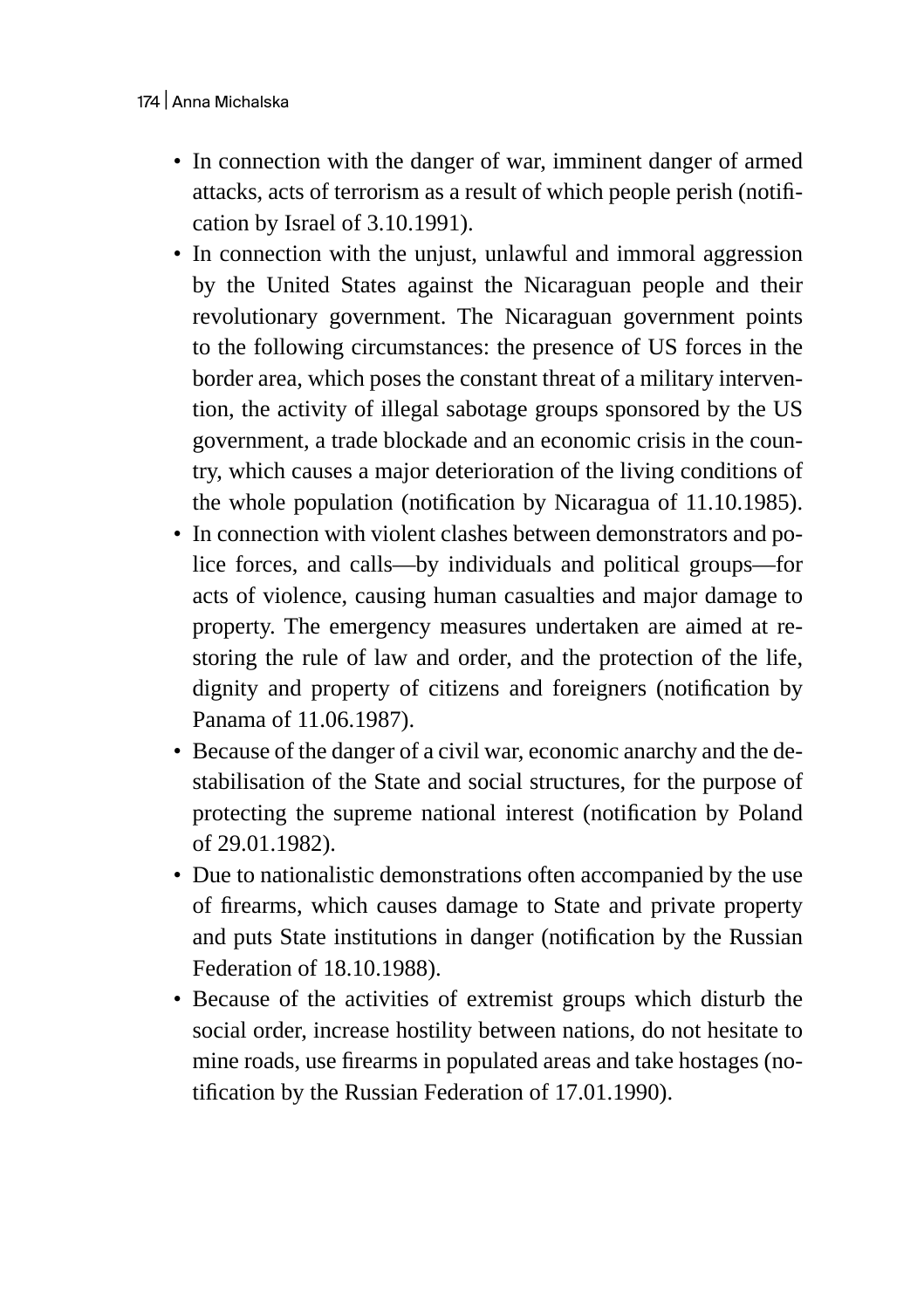- In connection with the danger of war, imminent danger of armed attacks, acts of terrorism as a result of which people perish (notification by Israel of 3.10.1991).
- In connection with the unjust, unlawful and immoral aggression by the United States against the Nicaraguan people and their revolutionary government. The Nicaraguan government points to the following circumstances: the presence of US forces in the border area, which poses the constant threat of a military intervention, the activity of illegal sabotage groups sponsored by the US government, a trade blockade and an economic crisis in the country, which causes a major deterioration of the living conditions of the whole population (notification by Nicaragua of 11.10.1985).
- In connection with violent clashes between demonstrators and police forces, and calls—by individuals and political groups—for acts of violence, causing human casualties and major damage to property. The emergency measures undertaken are aimed at restoring the rule of law and order, and the protection of the life, dignity and property of citizens and foreigners (notification by Panama of 11.06.1987).
- Because of the danger of a civil war, economic anarchy and the destabilisation of the State and social structures, for the purpose of protecting the supreme national interest (notification by Poland of 29.01.1982).
- Due to nationalistic demonstrations often accompanied by the use of firearms, which causes damage to State and private property and puts State institutions in danger (notification by the Russian Federation of 18.10.1988).
- Because of the activities of extremist groups which disturb the social order, increase hostility between nations, do not hesitate to mine roads, use firearms in populated areas and take hostages (notification by the Russian Federation of 17.01.1990).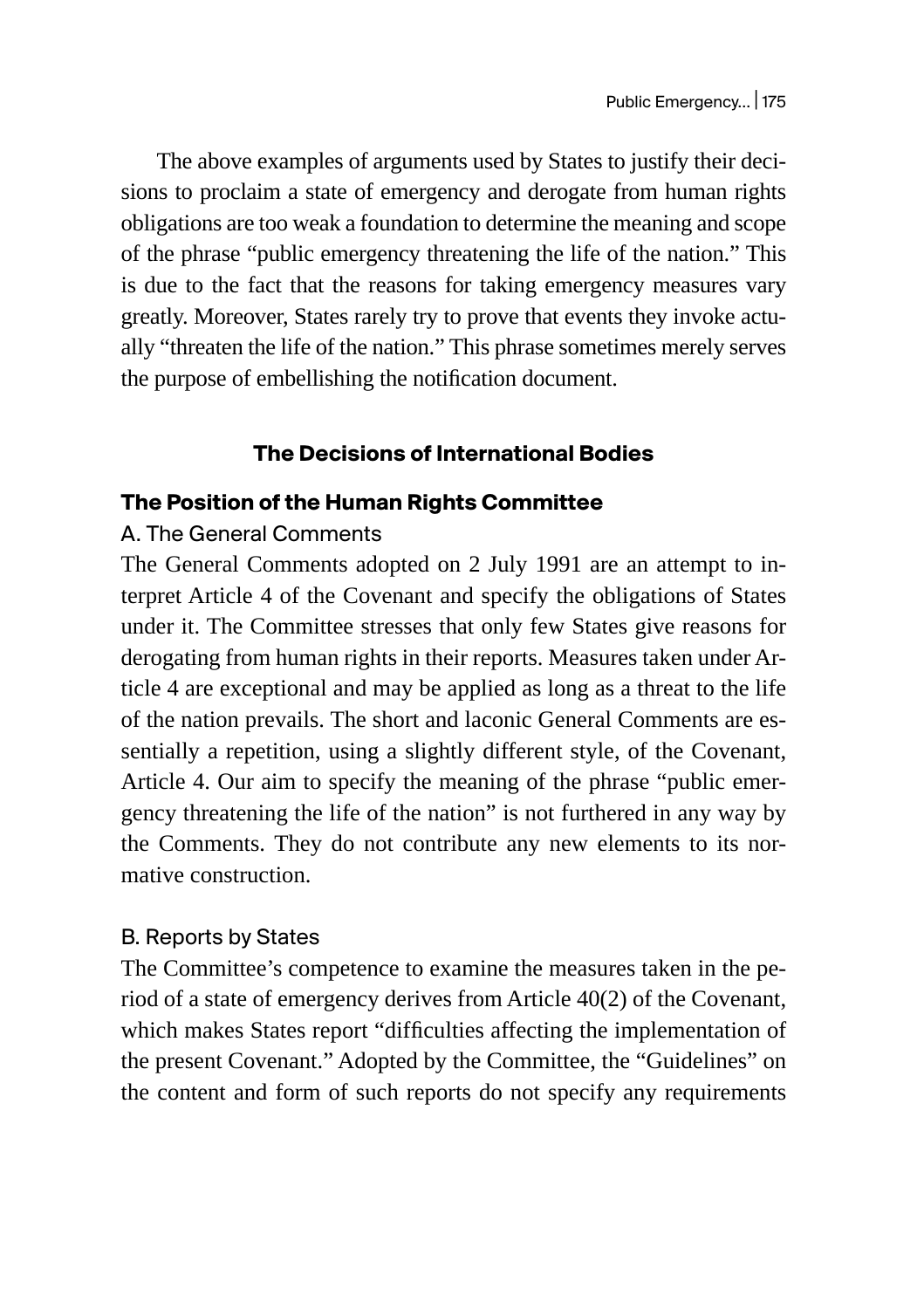The above examples of arguments used by States to justify their decisions to proclaim a state of emergency and derogate from human rights obligations are too weak a foundation to determine the meaning and scope of the phrase "public emergency threatening the life of the nation." This is due to the fact that the reasons for taking emergency measures vary greatly. Moreover, States rarely try to prove that events they invoke actually "threaten the life of the nation." This phrase sometimes merely serves the purpose of embellishing the notification document.

# **The Decisions of International Bodies**

# **The Position of the Human Rights Committee**

# A. The General Comments

The General Comments adopted on 2 July 1991 are an attempt to interpret Article 4 of the Covenant and specify the obligations of States under it. The Committee stresses that only few States give reasons for derogating from human rights in their reports. Measures taken under Article 4 are exceptional and may be applied as long as a threat to the life of the nation prevails. The short and laconic General Comments are essentially a repetition, using a slightly different style, of the Covenant, Article 4. Our aim to specify the meaning of the phrase "public emergency threatening the life of the nation" is not furthered in any way by the Comments. They do not contribute any new elements to its normative construction.

# B. Reports by States

The Committee's competence to examine the measures taken in the period of a state of emergency derives from Article 40(2) of the Covenant, which makes States report "difficulties affecting the implementation of the present Covenant." Adopted by the Committee, the "Guidelines" on the content and form of such reports do not specify any requirements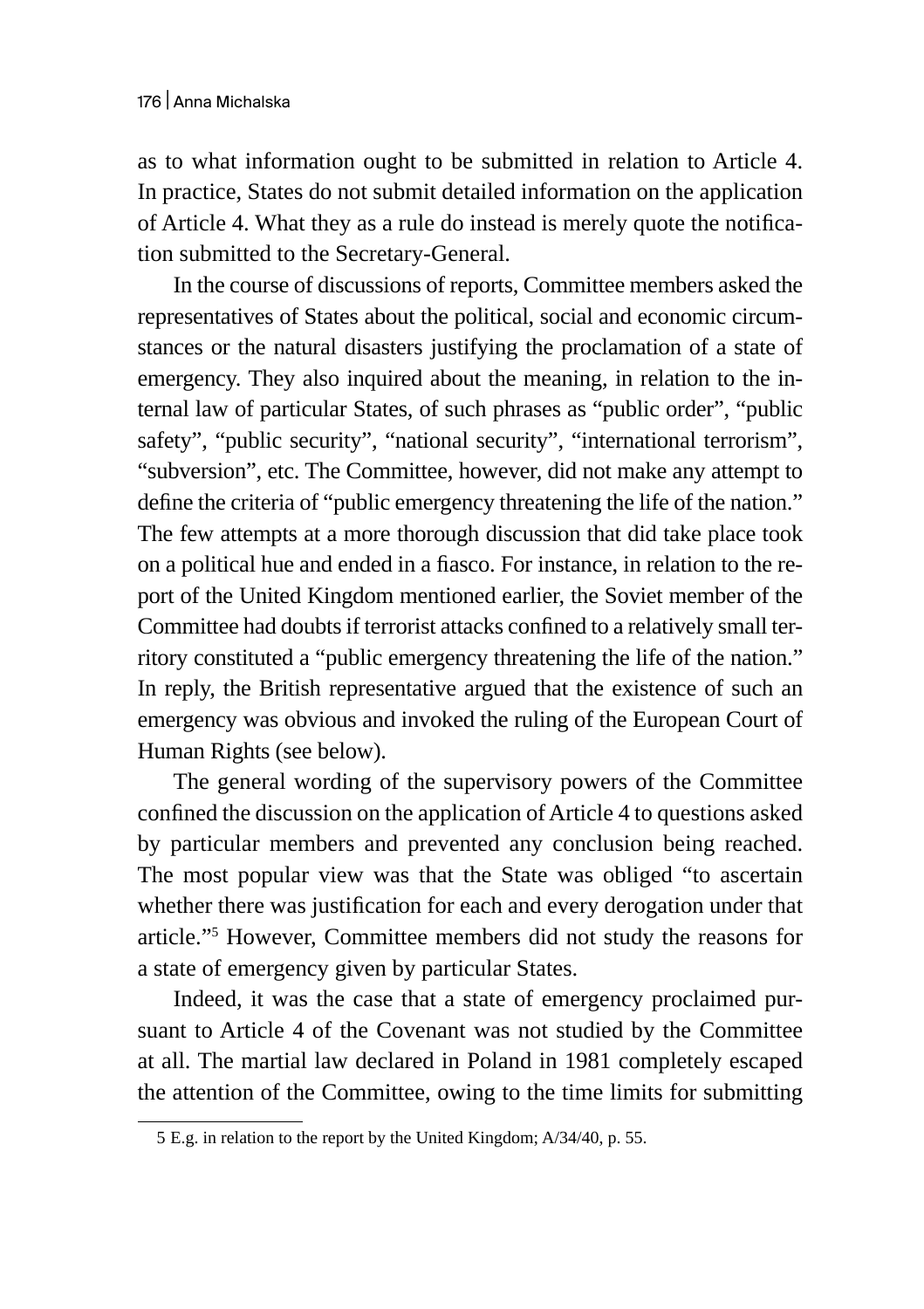as to what information ought to be submitted in relation to Article 4. In practice, States do not submit detailed information on the application of Article 4. What they as a rule do instead is merely quote the notification submitted to the Secretary-General.

In the course of discussions of reports, Committee members asked the representatives of States about the political, social and economic circumstances or the natural disasters justifying the proclamation of a state of emergency. They also inquired about the meaning, in relation to the internal law of particular States, of such phrases as "public order", "public safety", "public security", "national security", "international terrorism", "subversion", etc. The Committee, however, did not make any attempt to define the criteria of "public emergency threatening the life of the nation." The few attempts at a more thorough discussion that did take place took on a political hue and ended in a fiasco. For instance, in relation to the report of the United Kingdom mentioned earlier, the Soviet member of the Committee had doubts if terrorist attacks confined to a relatively small territory constituted a "public emergency threatening the life of the nation." In reply, the British representative argued that the existence of such an emergency was obvious and invoked the ruling of the European Court of Human Rights (see below).

The general wording of the supervisory powers of the Committee confined the discussion on the application of Article 4 to questions asked by particular members and prevented any conclusion being reached. The most popular view was that the State was obliged "to ascertain whether there was justification for each and every derogation under that article."5 However, Committee members did not study the reasons for a state of emergency given by particular States.

Indeed, it was the case that a state of emergency proclaimed pursuant to Article 4 of the Covenant was not studied by the Committee at all. The martial law declared in Poland in 1981 completely escaped the attention of the Committee, owing to the time limits for submitting

<sup>5</sup> E.g. in relation to the report by the United Kingdom; A/34/40, p. 55.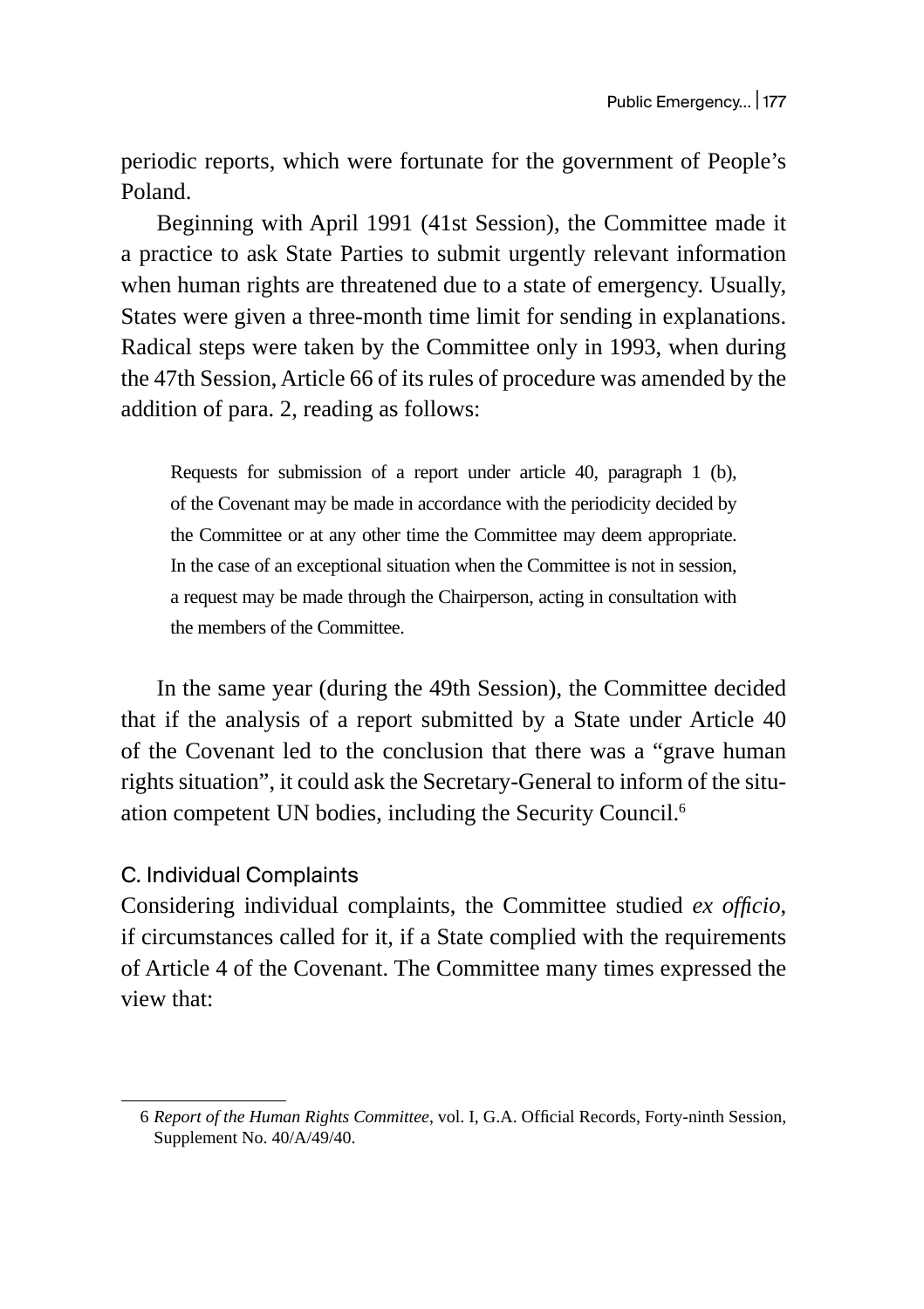periodic reports, which were fortunate for the government of People's Poland.

Beginning with April 1991 (41st Session), the Committee made it a practice to ask State Parties to submit urgently relevant information when human rights are threatened due to a state of emergency. Usually, States were given a three-month time limit for sending in explanations. Radical steps were taken by the Committee only in 1993, when during the 47th Session, Article 66 of its rules of procedure was amended by the addition of para. 2, reading as follows:

Requests for submission of a report under article 40, paragraph 1 (b), of the Covenant may be made in accordance with the periodicity decided by the Committee or at any other time the Committee may deem appropriate. In the case of an exceptional situation when the Committee is not in session, a request may be made through the Chairperson, acting in consultation with the members of the Committee.

In the same year (during the 49th Session), the Committee decided that if the analysis of a report submitted by a State under Article 40 of the Covenant led to the conclusion that there was a "grave human rights situation", it could ask the Secretary-General to inform of the situation competent UN bodies, including the Security Council.6

#### C. Individual Complaints

Considering individual complaints, the Committee studied *ex officio*, if circumstances called for it, if a State complied with the requirements of Article 4 of the Covenant. The Committee many times expressed the view that:

<sup>6</sup> *Report of the Human Rights Committee*, vol. I, G.A. Official Records, Forty-ninth Session, Supplement No. 40/A/49/40.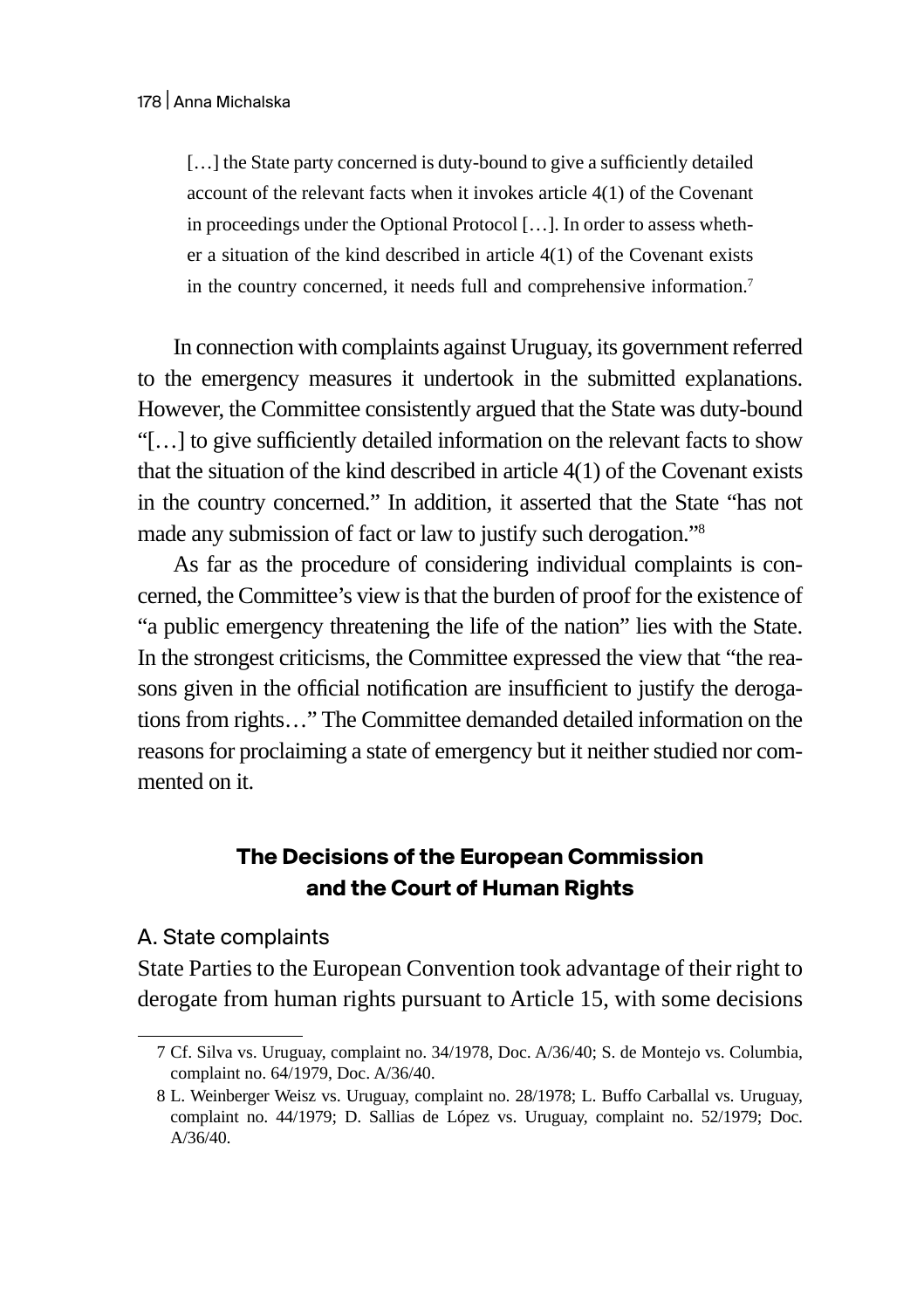[...] the State party concerned is duty-bound to give a sufficiently detailed account of the relevant facts when it invokes article 4(1) of the Covenant in proceedings under the Optional Protocol […]. In order to assess whether a situation of the kind described in article 4(1) of the Covenant exists in the country concerned, it needs full and comprehensive information.<sup>7</sup>

In connection with complaints against Uruguay, its government referred to the emergency measures it undertook in the submitted explanations. However, the Committee consistently argued that the State was duty-bound "[…] to give sufficiently detailed information on the relevant facts to show that the situation of the kind described in article 4(1) of the Covenant exists in the country concerned." In addition, it asserted that the State "has not made any submission of fact or law to justify such derogation."8

As far as the procedure of considering individual complaints is concerned, the Committee's view is that the burden of proof for the existence of "a public emergency threatening the life of the nation" lies with the State. In the strongest criticisms, the Committee expressed the view that "the reasons given in the official notification are insufficient to justify the derogations from rights…" The Committee demanded detailed information on the reasons for proclaiming a state of emergency but it neither studied nor commented on it.

# **The Decisions of the European Commission and the Court of Human Rights**

#### A. State complaints

State Parties to the European Convention took advantage of their right to derogate from human rights pursuant to Article 15, with some decisions

<sup>7</sup> Cf. Silva vs. Uruguay, complaint no. 34/1978, Doc. A/36/40; S. de Montejo vs. Columbia, complaint no. 64/1979, Doc. A/36/40.

<sup>8</sup> L. Weinberger Weisz vs. Uruguay, complaint no. 28/1978; L. Buffo Carballal vs. Uruguay, complaint no. 44/1979; D. Sallias de López vs. Uruguay, complaint no. 52/1979; Doc. A/36/40.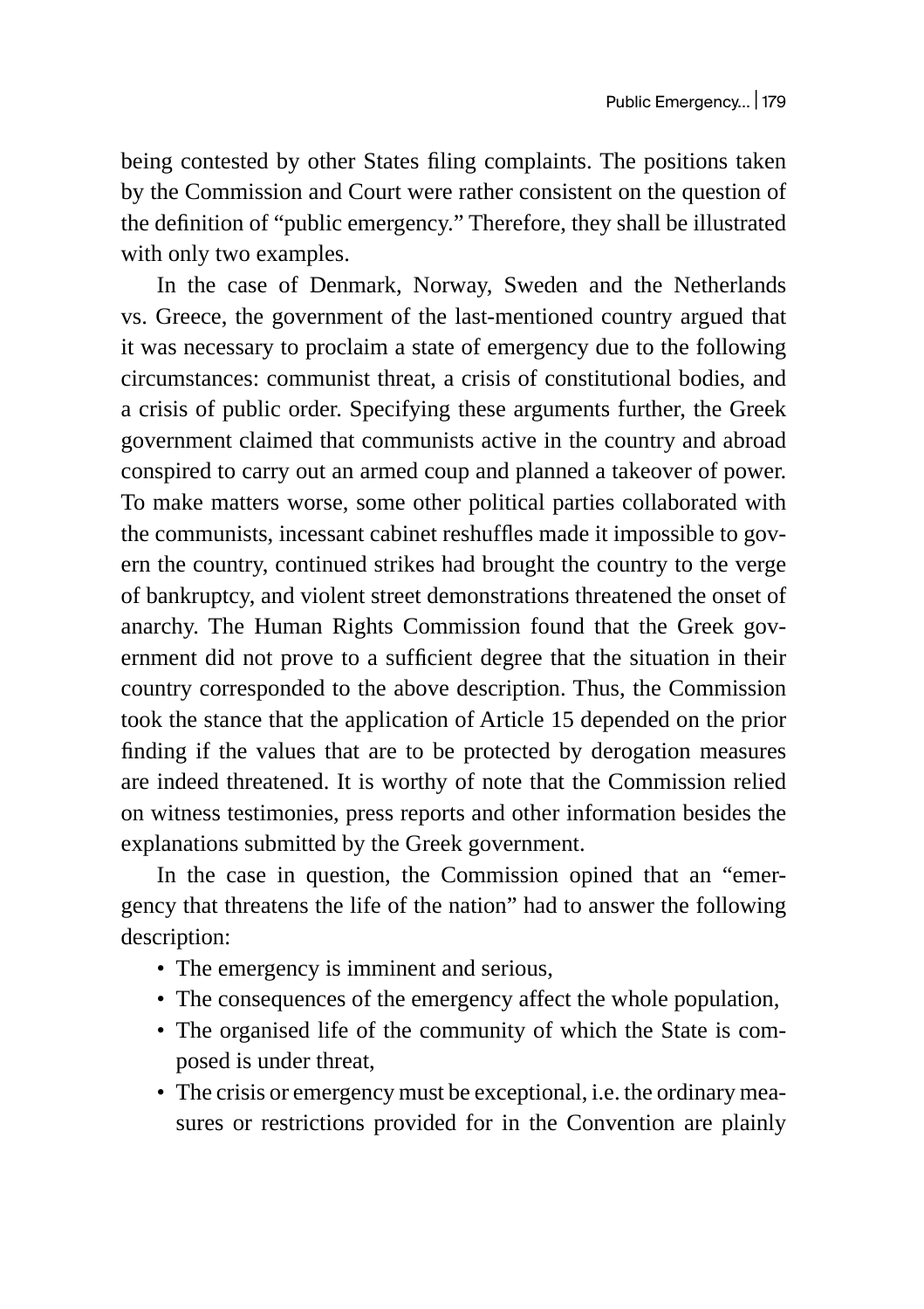being contested by other States filing complaints. The positions taken by the Commission and Court were rather consistent on the question of the definition of "public emergency." Therefore, they shall be illustrated with only two examples.

In the case of Denmark, Norway, Sweden and the Netherlands vs. Greece, the government of the last-mentioned country argued that it was necessary to proclaim a state of emergency due to the following circumstances: communist threat, a crisis of constitutional bodies, and a crisis of public order. Specifying these arguments further, the Greek government claimed that communists active in the country and abroad conspired to carry out an armed coup and planned a takeover of power. To make matters worse, some other political parties collaborated with the communists, incessant cabinet reshuffles made it impossible to govern the country, continued strikes had brought the country to the verge of bankruptcy, and violent street demonstrations threatened the onset of anarchy. The Human Rights Commission found that the Greek government did not prove to a sufficient degree that the situation in their country corresponded to the above description. Thus, the Commission took the stance that the application of Article 15 depended on the prior finding if the values that are to be protected by derogation measures are indeed threatened. It is worthy of note that the Commission relied on witness testimonies, press reports and other information besides the explanations submitted by the Greek government.

In the case in question, the Commission opined that an "emergency that threatens the life of the nation" had to answer the following description:

- The emergency is imminent and serious,
- The consequences of the emergency affect the whole population,
- The organised life of the community of which the State is composed is under threat,
- The crisis or emergency must be exceptional, i.e. the ordinary measures or restrictions provided for in the Convention are plainly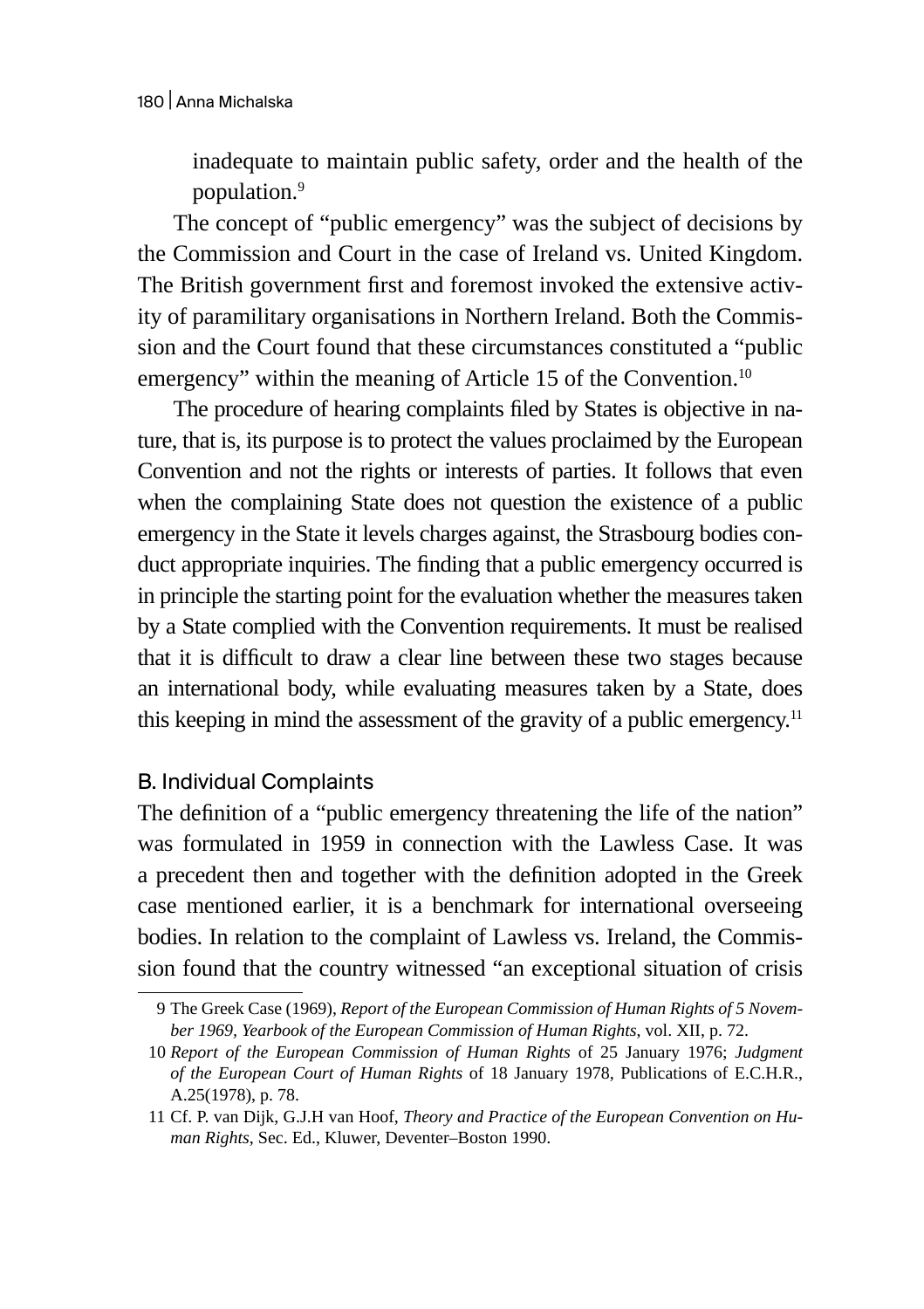inadequate to maintain public safety, order and the health of the population.9

The concept of "public emergency" was the subject of decisions by the Commission and Court in the case of Ireland vs. United Kingdom. The British government first and foremost invoked the extensive activity of paramilitary organisations in Northern Ireland. Both the Commission and the Court found that these circumstances constituted a "public emergency" within the meaning of Article 15 of the Convention.<sup>10</sup>

The procedure of hearing complaints filed by States is objective in nature, that is, its purpose is to protect the values proclaimed by the European Convention and not the rights or interests of parties. It follows that even when the complaining State does not question the existence of a public emergency in the State it levels charges against, the Strasbourg bodies conduct appropriate inquiries. The finding that a public emergency occurred is in principle the starting point for the evaluation whether the measures taken by a State complied with the Convention requirements. It must be realised that it is difficult to draw a clear line between these two stages because an international body, while evaluating measures taken by a State, does this keeping in mind the assessment of the gravity of a public emergency.<sup>11</sup>

# B. Individual Complaints

The definition of a "public emergency threatening the life of the nation" was formulated in 1959 in connection with the Lawless Case. It was a precedent then and together with the definition adopted in the Greek case mentioned earlier, it is a benchmark for international overseeing bodies. In relation to the complaint of Lawless vs. Ireland, the Commission found that the country witnessed "an exceptional situation of crisis

<sup>9</sup> The Greek Case (1969), *Report of the European Commission of Human Rights of 5 November 1969, Yearbook of the European Commission of Human Rights*, vol. XII, p. 72.

<sup>10</sup> *Report of the European Commission of Human Rights* of 25 January 1976; *Judgment of the European Court of Human Rights* of 18 January 1978, Publications of E.C.H.R., A.25(1978), p. 78.

<sup>11</sup> Cf. P. van Dijk, G.J.H van Hoof, *Theory and Practice of the European Convention on Human Rights*, Sec. Ed., Kluwer, Deventer–Boston 1990.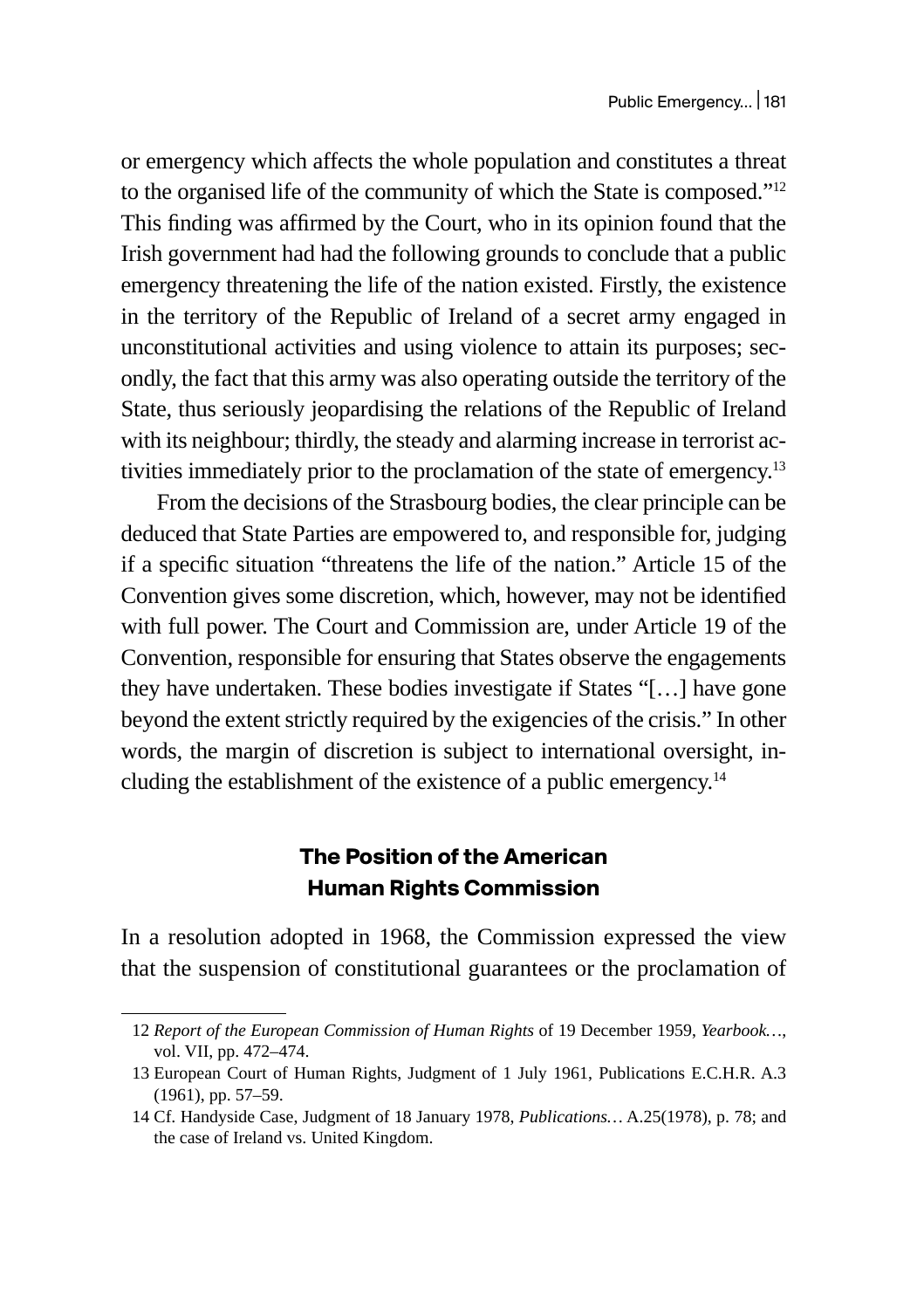or emergency which affects the whole population and constitutes a threat to the organised life of the community of which the State is composed."12 This finding was affirmed by the Court, who in its opinion found that the Irish government had had the following grounds to conclude that a public emergency threatening the life of the nation existed. Firstly, the existence in the territory of the Republic of Ireland of a secret army engaged in unconstitutional activities and using violence to attain its purposes; secondly, the fact that this army was also operating outside the territory of the State, thus seriously jeopardising the relations of the Republic of Ireland with its neighbour; thirdly, the steady and alarming increase in terrorist activities immediately prior to the proclamation of the state of emergency.<sup>13</sup>

From the decisions of the Strasbourg bodies, the clear principle can be deduced that State Parties are empowered to, and responsible for, judging if a specific situation "threatens the life of the nation." Article 15 of the Convention gives some discretion, which, however, may not be identified with full power. The Court and Commission are, under Article 19 of the Convention, responsible for ensuring that States observe the engagements they have undertaken. These bodies investigate if States "[…] have gone beyond the extent strictly required by the exigencies of the crisis." In other words, the margin of discretion is subject to international oversight, including the establishment of the existence of a public emergency.<sup>14</sup>

# **The Position of the American Human Rights Commission**

In a resolution adopted in 1968, the Commission expressed the view that the suspension of constitutional guarantees or the proclamation of

<sup>12</sup> *Report of the European Commission of Human Rights* of 19 December 1959, *Yearbook…*, vol. VII, pp. 472–474.

<sup>13</sup> European Court of Human Rights, Judgment of 1 July 1961, Publications E.C.H.R. A.3 (1961), pp. 57–59.

<sup>14</sup> Cf. Handyside Case, Judgment of 18 January 1978, *Publications…* A.25(1978), p. 78; and the case of Ireland vs. United Kingdom.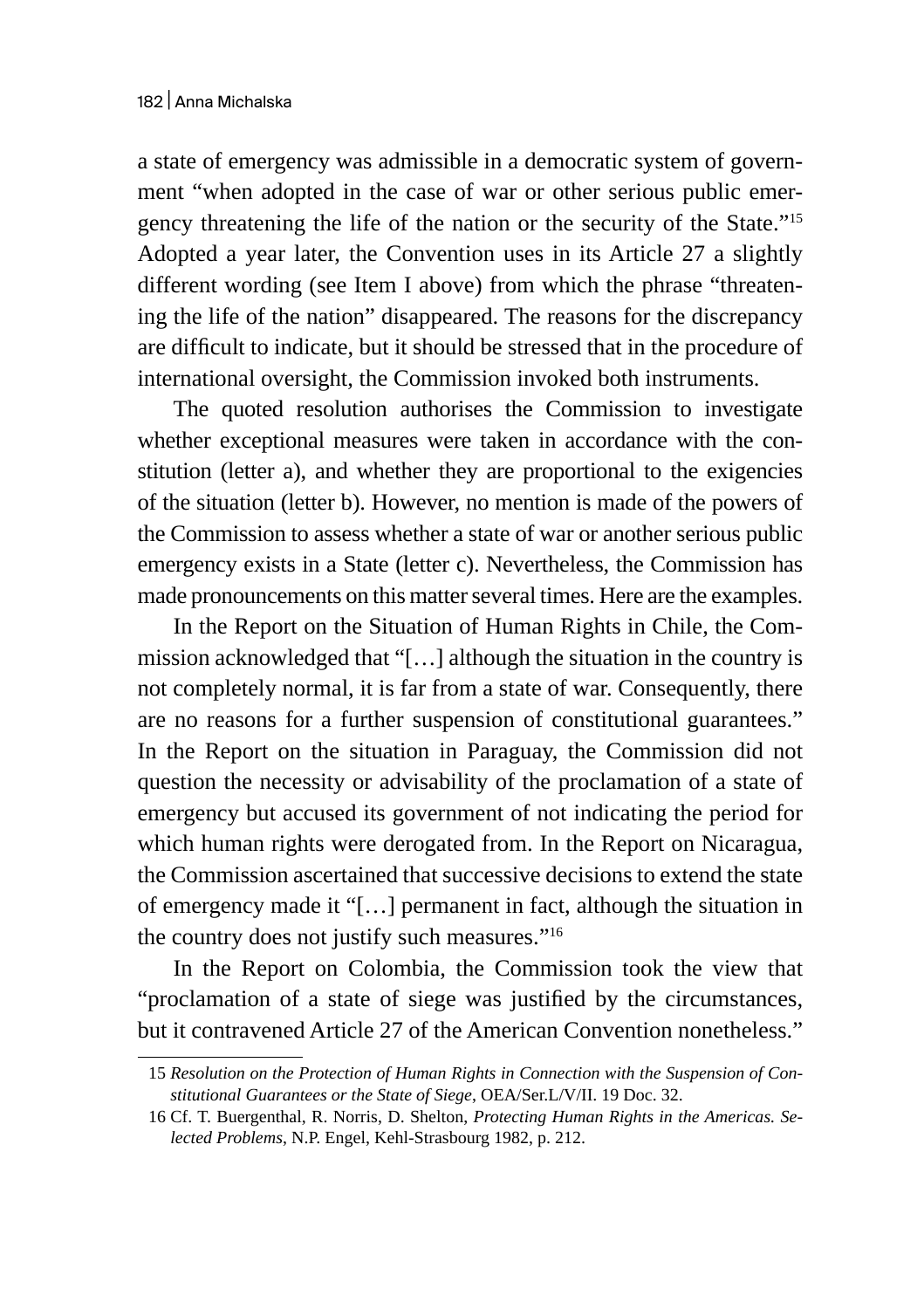a state of emergency was admissible in a democratic system of government "when adopted in the case of war or other serious public emergency threatening the life of the nation or the security of the State."15 Adopted a year later, the Convention uses in its Article 27 a slightly different wording (see Item I above) from which the phrase "threatening the life of the nation" disappeared. The reasons for the discrepancy are difficult to indicate, but it should be stressed that in the procedure of international oversight, the Commission invoked both instruments.

The quoted resolution authorises the Commission to investigate whether exceptional measures were taken in accordance with the constitution (letter a), and whether they are proportional to the exigencies of the situation (letter b). However, no mention is made of the powers of the Commission to assess whether a state of war or another serious public emergency exists in a State (letter c). Nevertheless, the Commission has made pronouncements on this matter several times. Here are the examples.

In the Report on the Situation of Human Rights in Chile, the Commission acknowledged that "[…] although the situation in the country is not completely normal, it is far from a state of war. Consequently, there are no reasons for a further suspension of constitutional guarantees." In the Report on the situation in Paraguay, the Commission did not question the necessity or advisability of the proclamation of a state of emergency but accused its government of not indicating the period for which human rights were derogated from. In the Report on Nicaragua, the Commission ascertained that successive decisions to extend the state of emergency made it "[…] permanent in fact, although the situation in the country does not justify such measures."<sup>16</sup>

In the Report on Colombia, the Commission took the view that "proclamation of a state of siege was justified by the circumstances, but it contravened Article 27 of the American Convention nonetheless."

<sup>15</sup> *Resolution on the Protection of Human Rights in Connection with the Suspension of Constitutional Guarantees or the State of Siege*, OEA/Ser.L/V/II. 19 Doc. 32.

<sup>16</sup> Cf. T. Buergenthal, R. Norris, D. Shelton, *Protecting Human Rights in the Americas. Selected Problems*, N.P. Engel, Kehl-Strasbourg 1982, p. 212.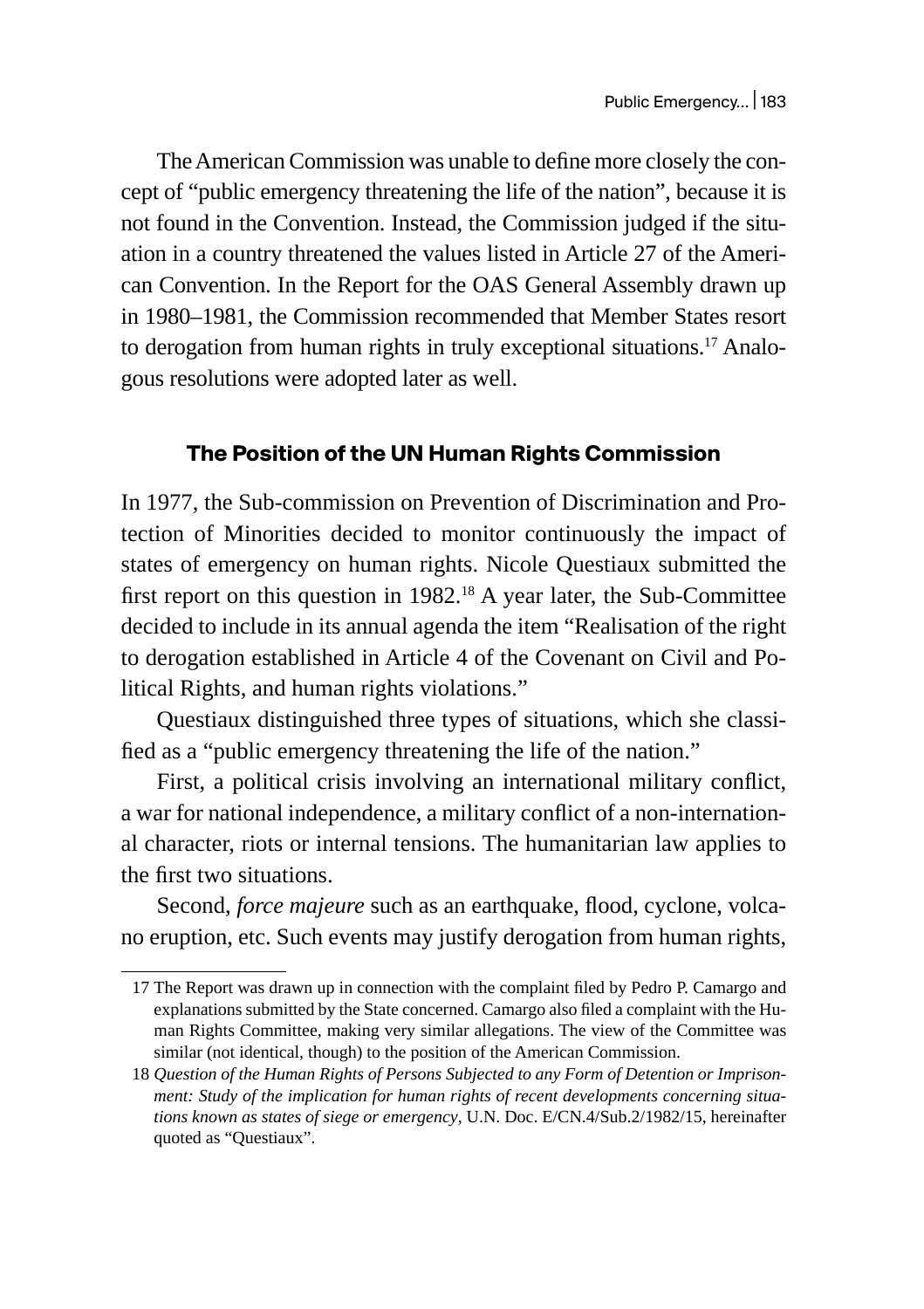The American Commission was unable to define more closely the concept of "public emergency threatening the life of the nation", because it is not found in the Convention. Instead, the Commission judged if the situation in a country threatened the values listed in Article 27 of the American Convention. In the Report for the OAS General Assembly drawn up in 1980–1981, the Commission recommended that Member States resort to derogation from human rights in truly exceptional situations.<sup>17</sup> Analogous resolutions were adopted later as well.

# **The Position of the UN Human Rights Commission**

In 1977, the Sub-commission on Prevention of Discrimination and Protection of Minorities decided to monitor continuously the impact of states of emergency on human rights. Nicole Questiaux submitted the first report on this question in  $1982<sup>18</sup>$  A year later, the Sub-Committee decided to include in its annual agenda the item "Realisation of the right to derogation established in Article 4 of the Covenant on Civil and Political Rights, and human rights violations."

Questiaux distinguished three types of situations, which she classified as a "public emergency threatening the life of the nation."

First, a political crisis involving an international military conflict, a war for national independence, a military conflict of a non-international character, riots or internal tensions. The humanitarian law applies to the first two situations.

Second, *force majeure* such as an earthquake, flood, cyclone, volcano eruption, etc. Such events may justify derogation from human rights,

<sup>17</sup> The Report was drawn up in connection with the complaint filed by Pedro P. Camargo and explanations submitted by the State concerned. Camargo also filed a complaint with the Human Rights Committee, making very similar allegations. The view of the Committee was similar (not identical, though) to the position of the American Commission.

<sup>18</sup> *Question of the Human Rights of Persons Subjected to any Form of Detention or Imprisonment: Study of the implication for human rights of recent developments concerning situations known as states of siege or emergency*, U.N. Doc. E/CN.4/Sub.2/1982/15, hereinafter quoted as "Questiaux".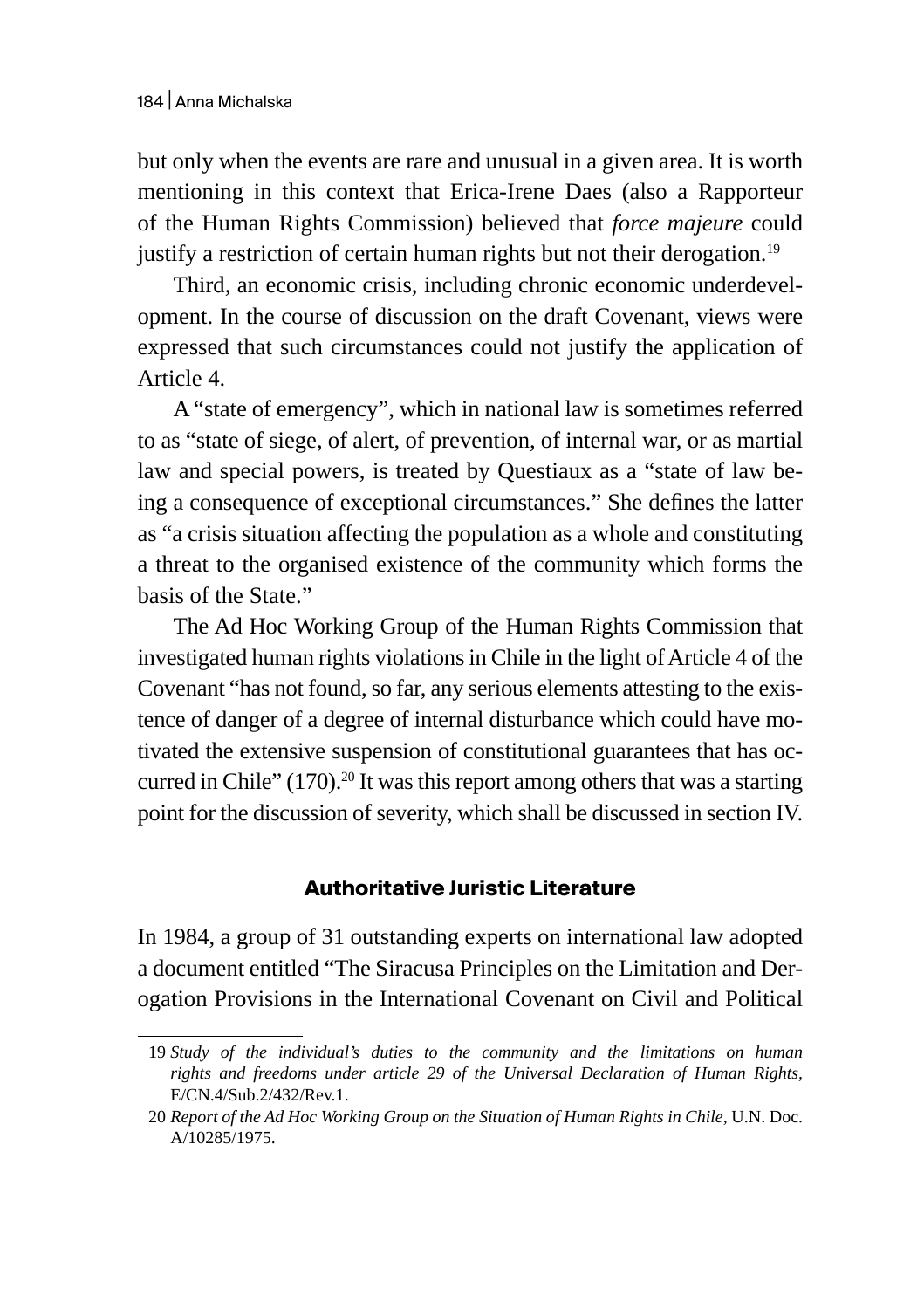but only when the events are rare and unusual in a given area. It is worth mentioning in this context that Erica-Irene Daes (also a Rapporteur of the Human Rights Commission) believed that *force majeure* could justify a restriction of certain human rights but not their derogation.<sup>19</sup>

Third, an economic crisis, including chronic economic underdevelopment. In the course of discussion on the draft Covenant, views were expressed that such circumstances could not justify the application of Article 4.

A "state of emergency", which in national law is sometimes referred to as "state of siege, of alert, of prevention, of internal war, or as martial law and special powers, is treated by Questiaux as a "state of law being a consequence of exceptional circumstances." She defines the latter as "a crisis situation affecting the population as a whole and constituting a threat to the organised existence of the community which forms the basis of the State."

The Ad Hoc Working Group of the Human Rights Commission that investigated human rights violations in Chile in the light of Article 4 of the Covenant "has not found, so far, any serious elements attesting to the existence of danger of a degree of internal disturbance which could have motivated the extensive suspension of constitutional guarantees that has occurred in Chile"  $(170)^{20}$  It was this report among others that was a starting point for the discussion of severity, which shall be discussed in section IV.

# **Authoritative Juristic Literature**

In 1984, a group of 31 outstanding experts on international law adopted a document entitled "The Siracusa Principles on the Limitation and Derogation Provisions in the International Covenant on Civil and Political

<sup>19</sup> *Study of the individual's duties to the community and the limitations on human rights and freedoms under article 29 of the Universal Declaration of Human Rights,* E/CN.4/Sub.2/432/Rev.1.

<sup>20</sup> *Report of the Ad Hoc Working Group on the Situation of Human Rights in Chile*, U.N. Doc. A/10285/1975.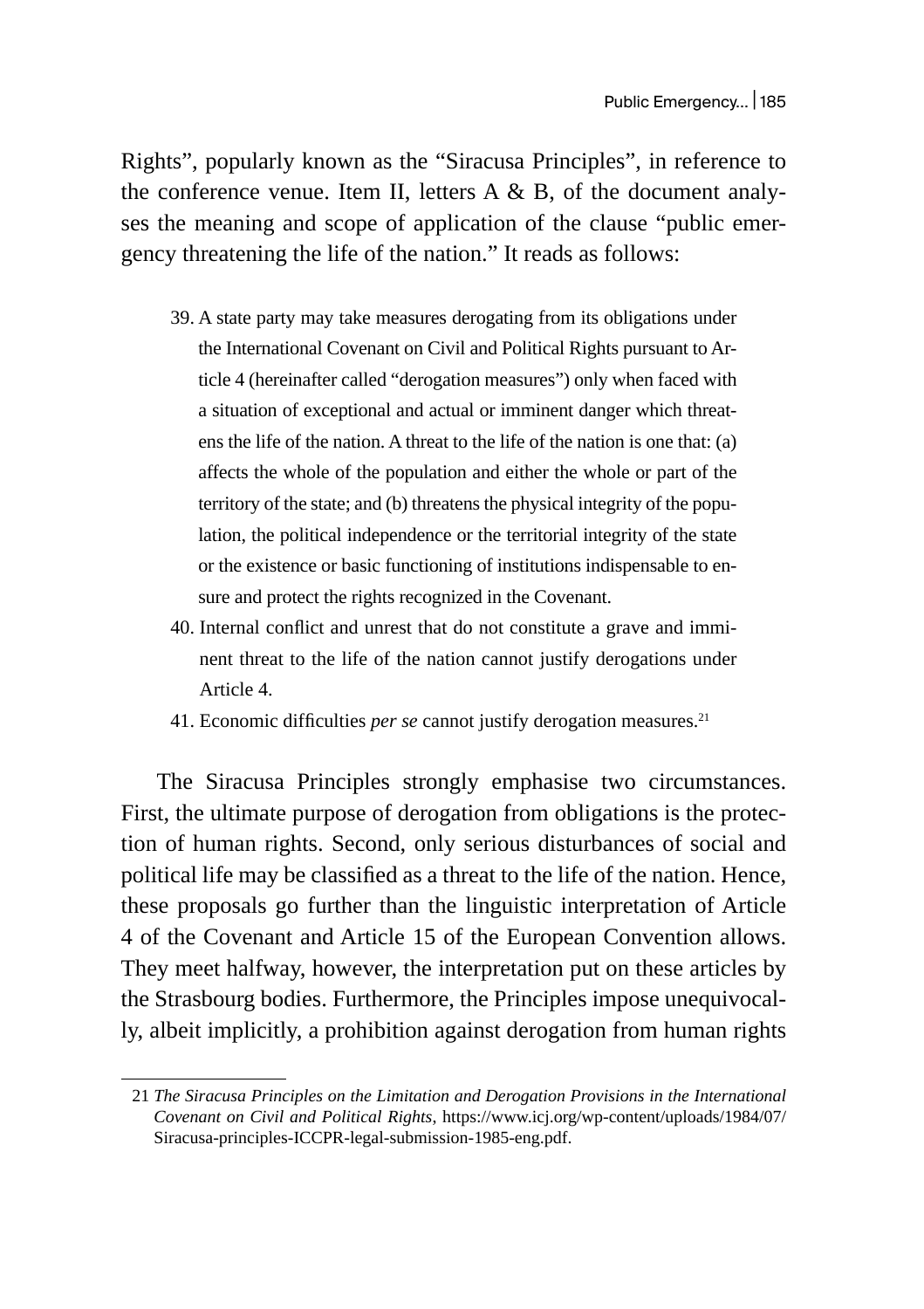Rights", popularly known as the "Siracusa Principles", in reference to the conference venue. Item II, letters A & B, of the document analyses the meaning and scope of application of the clause "public emergency threatening the life of the nation." It reads as follows:

- 39. A state party may take measures derogating from its obligations under the International Covenant on Civil and Political Rights pursuant to Article 4 (hereinafter called "derogation measures") only when faced with a situation of exceptional and actual or imminent danger which threatens the life of the nation. A threat to the life of the nation is one that: (a) affects the whole of the population and either the whole or part of the territory of the state; and (b) threatens the physical integrity of the population, the political independence or the territorial integrity of the state or the existence or basic functioning of institutions indispensable to ensure and protect the rights recognized in the Covenant.
- 40. Internal conflict and unrest that do not constitute a grave and imminent threat to the life of the nation cannot justify derogations under Article 4.
- 41. Economic difficulties *per se* cannot justify derogation measures.<sup>21</sup>

The Siracusa Principles strongly emphasise two circumstances. First, the ultimate purpose of derogation from obligations is the protection of human rights. Second, only serious disturbances of social and political life may be classified as a threat to the life of the nation. Hence, these proposals go further than the linguistic interpretation of Article 4 of the Covenant and Article 15 of the European Convention allows. They meet halfway, however, the interpretation put on these articles by the Strasbourg bodies. Furthermore, the Principles impose unequivocally, albeit implicitly, a prohibition against derogation from human rights

<sup>21</sup> *The Siracusa Principles on the Limitation and Derogation Provisions in the International Covenant on Civil and Political Rights*, https://www.icj.org/wp-content/uploads/1984/07/ Siracusa-principles-ICCPR-legal-submission-1985-eng.pdf.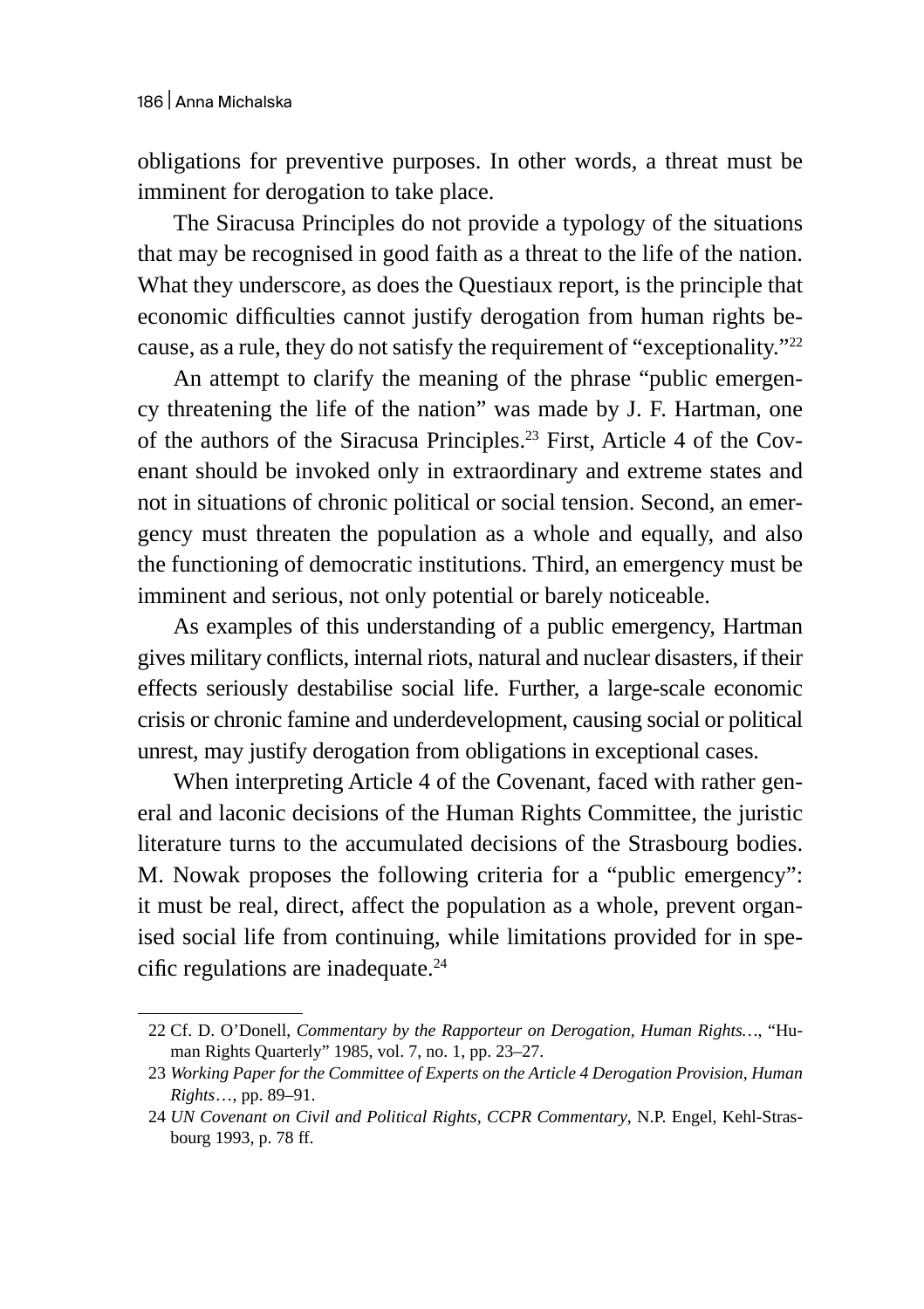obligations for preventive purposes. In other words, a threat must be imminent for derogation to take place.

The Siracusa Principles do not provide a typology of the situations that may be recognised in good faith as a threat to the life of the nation. What they underscore, as does the Questiaux report, is the principle that economic difficulties cannot justify derogation from human rights because, as a rule, they do not satisfy the requirement of "exceptionality."22

An attempt to clarify the meaning of the phrase "public emergency threatening the life of the nation" was made by J. F. Hartman, one of the authors of the Siracusa Principles.<sup>23</sup> First, Article 4 of the Covenant should be invoked only in extraordinary and extreme states and not in situations of chronic political or social tension. Second, an emergency must threaten the population as a whole and equally, and also the functioning of democratic institutions. Third, an emergency must be imminent and serious, not only potential or barely noticeable.

As examples of this understanding of a public emergency, Hartman gives military conflicts, internal riots, natural and nuclear disasters, if their effects seriously destabilise social life. Further, a large-scale economic crisis or chronic famine and underdevelopment, causing social or political unrest, may justify derogation from obligations in exceptional cases.

When interpreting Article 4 of the Covenant, faced with rather general and laconic decisions of the Human Rights Committee, the juristic literature turns to the accumulated decisions of the Strasbourg bodies. M. Nowak proposes the following criteria for a "public emergency": it must be real, direct, affect the population as a whole, prevent organised social life from continuing, while limitations provided for in specific regulations are inadequate. $^{24}$ 

<sup>22</sup> Cf. D. O'Donell, *Commentary by the Rapporteur on Derogation, Human Rights…*, "Human Rights Quarterly" 1985, vol. 7, no. 1, pp. 23–27.

<sup>23</sup> *Working Paper for the Committee of Experts on the Article 4 Derogation Provision*, *Human Rights*…, pp. 89–91.

<sup>24</sup> *UN Covenant on Civil and Political Rights, CCPR Commentary*, N.P. Engel, Kehl-Strasbourg 1993, p. 78 ff.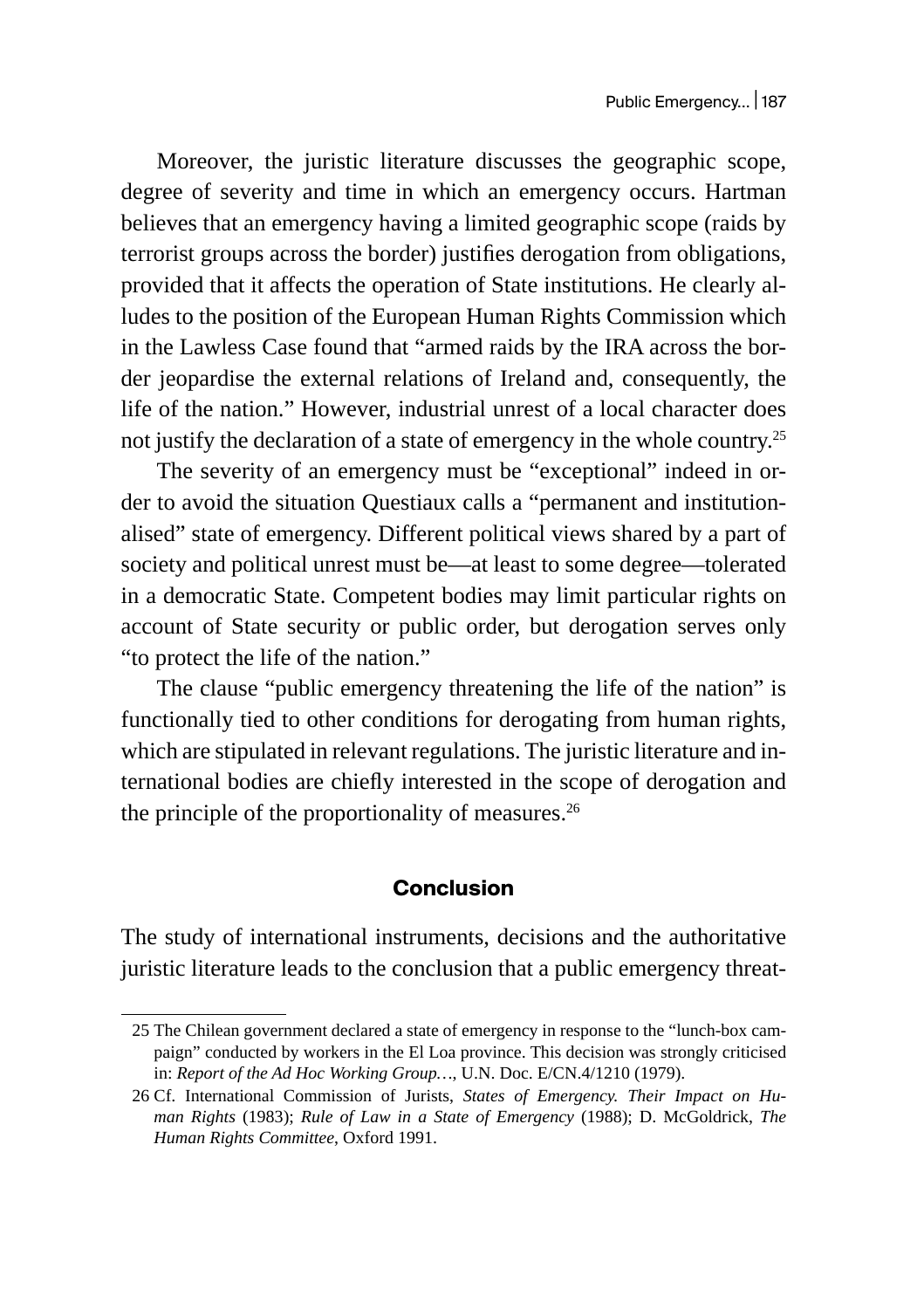Moreover, the juristic literature discusses the geographic scope, degree of severity and time in which an emergency occurs. Hartman believes that an emergency having a limited geographic scope (raids by terrorist groups across the border) justifies derogation from obligations, provided that it affects the operation of State institutions. He clearly alludes to the position of the European Human Rights Commission which in the Lawless Case found that "armed raids by the IRA across the border jeopardise the external relations of Ireland and, consequently, the life of the nation." However, industrial unrest of a local character does not justify the declaration of a state of emergency in the whole country.25

The severity of an emergency must be "exceptional" indeed in order to avoid the situation Questiaux calls a "permanent and institutionalised" state of emergency. Different political views shared by a part of society and political unrest must be—at least to some degree—tolerated in a democratic State. Competent bodies may limit particular rights on account of State security or public order, but derogation serves only "to protect the life of the nation."

The clause "public emergency threatening the life of the nation" is functionally tied to other conditions for derogating from human rights, which are stipulated in relevant regulations. The juristic literature and international bodies are chiefly interested in the scope of derogation and the principle of the proportionality of measures. $26$ 

#### **Conclusion**

The study of international instruments, decisions and the authoritative juristic literature leads to the conclusion that a public emergency threat-

<sup>25</sup> The Chilean government declared a state of emergency in response to the "lunch-box campaign" conducted by workers in the El Loa province. This decision was strongly criticised in: *Report of the Ad Hoc Working Group…*, U.N. Doc. E/CN.4/1210 (1979).

<sup>26</sup> Cf. International Commission of Jurists, *States of Emergency. Their Impact on Human Rights* (1983); *Rule of Law in a State of Emergency* (1988); D. McGoldrick, *The Human Rights Committee*, Oxford 1991.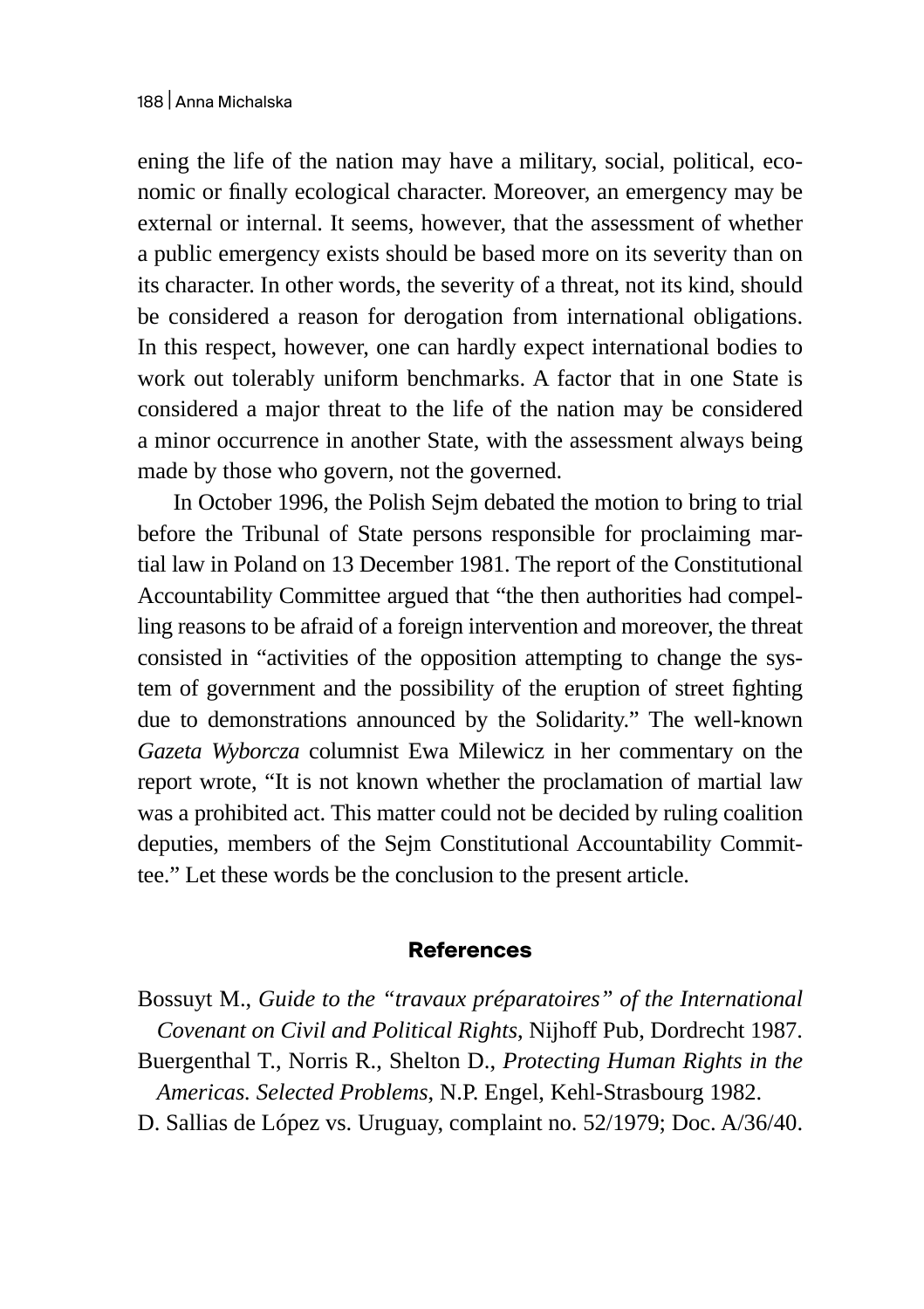ening the life of the nation may have a military, social, political, economic or finally ecological character. Moreover, an emergency may be external or internal. It seems, however, that the assessment of whether a public emergency exists should be based more on its severity than on its character. In other words, the severity of a threat, not its kind, should be considered a reason for derogation from international obligations. In this respect, however, one can hardly expect international bodies to work out tolerably uniform benchmarks. A factor that in one State is considered a major threat to the life of the nation may be considered a minor occurrence in another State, with the assessment always being made by those who govern, not the governed.

In October 1996, the Polish Sejm debated the motion to bring to trial before the Tribunal of State persons responsible for proclaiming martial law in Poland on 13 December 1981. The report of the Constitutional Accountability Committee argued that "the then authorities had compelling reasons to be afraid of a foreign intervention and moreover, the threat consisted in "activities of the opposition attempting to change the system of government and the possibility of the eruption of street fighting due to demonstrations announced by the Solidarity." The well-known *Gazeta Wyborcza* columnist Ewa Milewicz in her commentary on the report wrote, "It is not known whether the proclamation of martial law was a prohibited act. This matter could not be decided by ruling coalition deputies, members of the Sejm Constitutional Accountability Committee." Let these words be the conclusion to the present article.

#### **References**

Bossuyt M., *Guide to the "travaux préparatoires" of the International Covenant on Civil and Political Rights*, Nijhoff Pub, Dordrecht 1987. Buergenthal T., Norris R., Shelton D., *Protecting Human Rights in the Americas. Selected Problems*, N.P. Engel, Kehl-Strasbourg 1982. D. Sallias de López vs. Uruguay, complaint no. 52/1979; Doc. A/36/40.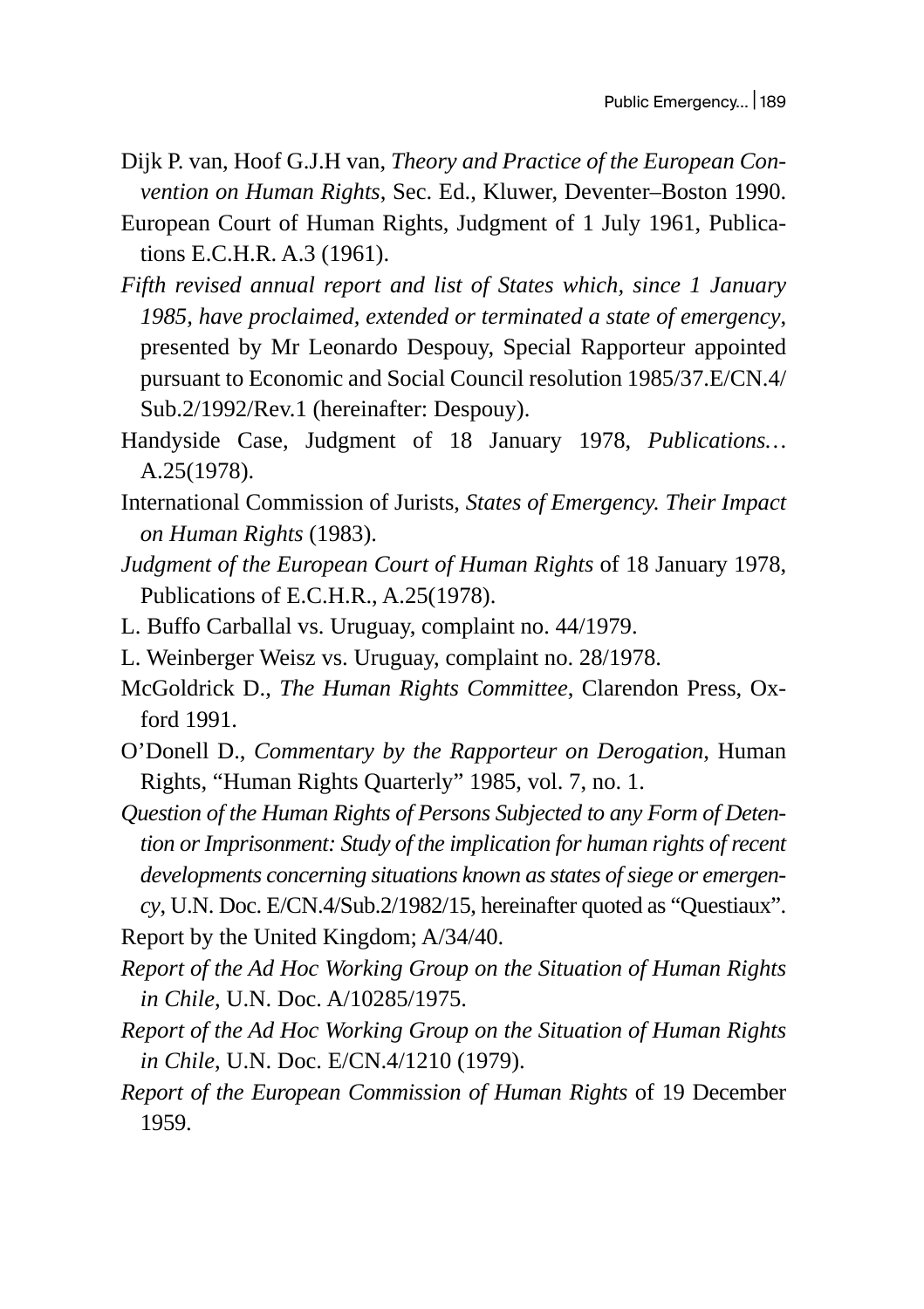- Dijk P. van, Hoof G.J.H van, *Theory and Practice of the European Convention on Human Rights*, Sec. Ed., Kluwer, Deventer–Boston 1990.
- European Court of Human Rights, Judgment of 1 July 1961, Publications E.C.H.R. A.3 (1961).
- *Fifth revised annual report and list of States which, since 1 January 1985, have proclaimed, extended or terminated a state of emergency*, presented by Mr Leonardo Despouy, Special Rapporteur appointed pursuant to Economic and Social Council resolution 1985/37.E/CN.4/ Sub.2/1992/Rev.1 (hereinafter: Despouy).
- Handyside Case, Judgment of 18 January 1978, *Publications…* A.25(1978).
- International Commission of Jurists, *States of Emergency. Their Impact on Human Rights* (1983).
- *Judgment of the European Court of Human Rights* of 18 January 1978, Publications of E.C.H.R., A.25(1978).
- L. Buffo Carballal vs. Uruguay, complaint no. 44/1979.
- L. Weinberger Weisz vs. Uruguay, complaint no. 28/1978.
- McGoldrick D., *The Human Rights Committee*, Clarendon Press, Oxford 1991.
- O'Donell D., *Commentary by the Rapporteur on Derogation*, Human Rights, "Human Rights Quarterly" 1985, vol. 7, no. 1.
- *Question of the Human Rights of Persons Subjected to any Form of Detention or Imprisonment: Study of the implication for human rights of recent developments concerning situations known as states of siege or emergency*, U.N. Doc. E/CN.4/Sub.2/1982/15, hereinafter quoted as "Questiaux".
- Report by the United Kingdom; A/34/40.
- *Report of the Ad Hoc Working Group on the Situation of Human Rights in Chile*, U.N. Doc. A/10285/1975.
- *Report of the Ad Hoc Working Group on the Situation of Human Rights in Chile*, U.N. Doc. E/CN.4/1210 (1979).
- *Report of the European Commission of Human Rights* of 19 December 1959.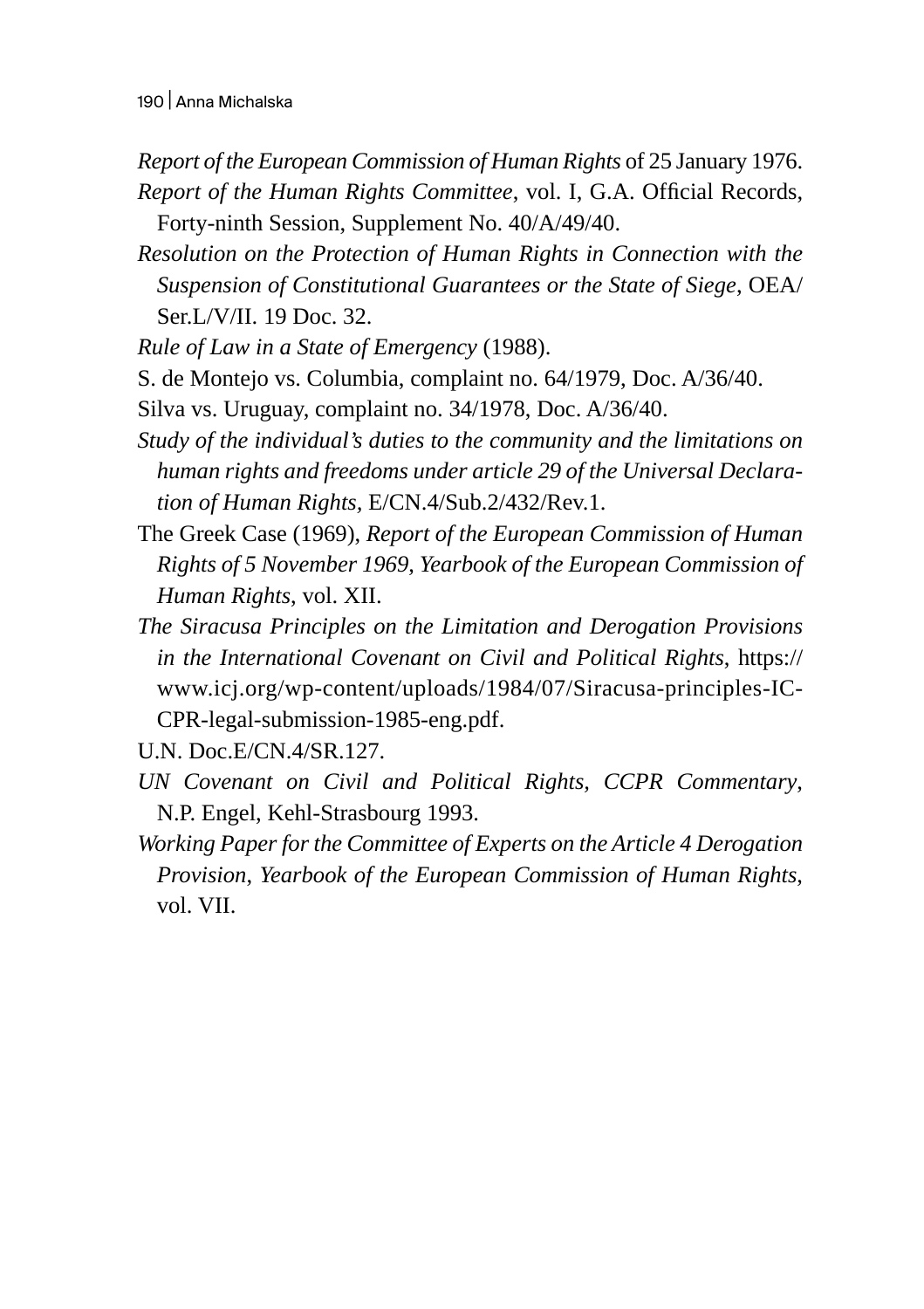- *Report of the European Commission of Human Rights* of 25 January 1976. *Report of the Human Rights Committee*, vol. I, G.A. Official Records, Forty-ninth Session, Supplement No. 40/A/49/40.
- *Resolution on the Protection of Human Rights in Connection with the Suspension of Constitutional Guarantees or the State of Siege*, OEA/ Ser.L/V/II. 19 Doc. 32.
- *Rule of Law in a State of Emergency* (1988).

S. de Montejo vs. Columbia, complaint no. 64/1979, Doc. A/36/40.

- Silva vs. Uruguay, complaint no. 34/1978, Doc. A/36/40.
- *Study of the individual's duties to the community and the limitations on human rights and freedoms under article 29 of the Universal Declaration of Human Rights,* E/CN.4/Sub.2/432/Rev.1.
- The Greek Case (1969), *Report of the European Commission of Human Rights of 5 November 1969*, *Yearbook of the European Commission of Human Rights*, vol. XII.
- *The Siracusa Principles on the Limitation and Derogation Provisions in the International Covenant on Civil and Political Rights*, https:// www.icj.org/wp-content/uploads/1984/07/Siracusa-principles-IC-CPR-legal-submission-1985-eng.pdf.

U.N. Doc.E/CN.4/SR.127.

- *UN Covenant on Civil and Political Rights, CCPR Commentary*, N.P. Engel, Kehl-Strasbourg 1993.
- *Working Paper for the Committee of Experts on the Article 4 Derogation Provision*, *Yearbook of the European Commission of Human Rights*, vol. VII.